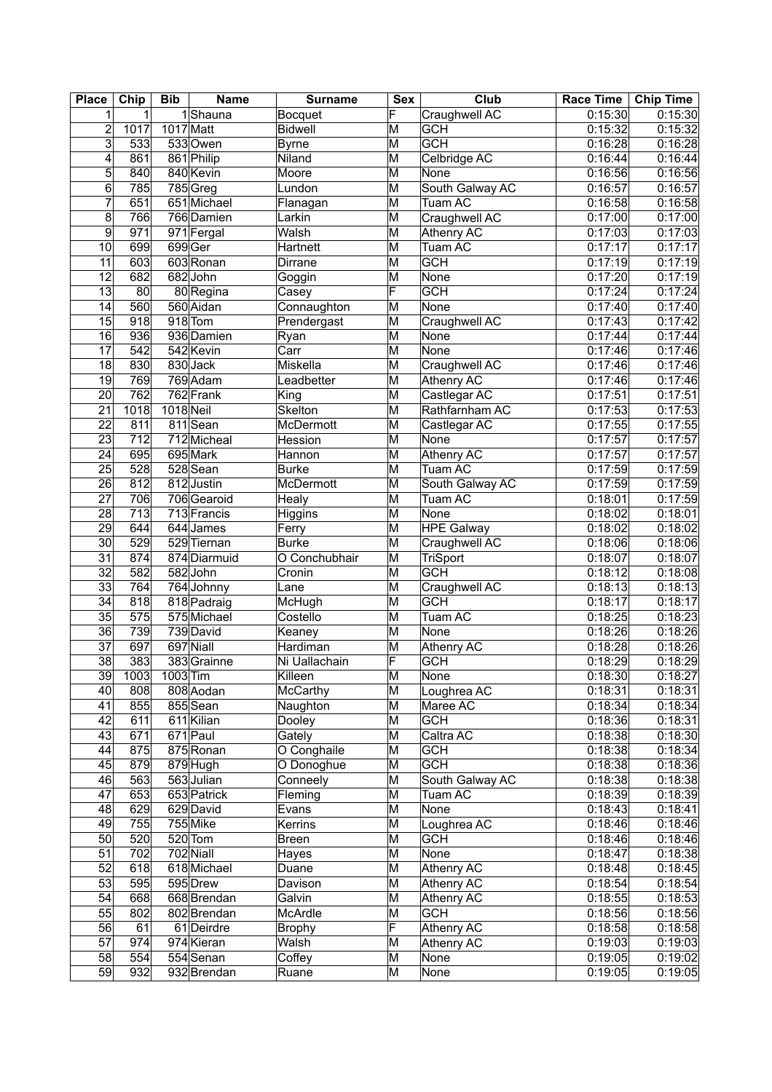| <b>Place</b>            | Chip | <b>Bib</b> | <b>Name</b>            | <b>Surname</b> | <b>Sex</b>              | Club              | Race Time   Chip Time |         |
|-------------------------|------|------------|------------------------|----------------|-------------------------|-------------------|-----------------------|---------|
| 1                       | 1    |            | 1Shauna                | Bocquet        | F                       | Craughwell AC     | 0:15:30               | 0:15:30 |
| $\overline{c}$          | 1017 | 1017 Matt  |                        | Bidwell        | M                       | <b>GCH</b>        | 0:15:32               | 0:15:32 |
| $\overline{\mathbf{3}}$ | 533  |            | 533Owen                | <b>Byrne</b>   | M                       | <b>GCH</b>        | 0:16:28               | 0:16:28 |
| 4                       | 861  |            | 861 Philip             | Niland         | M                       | Celbridge AC      | 0:16:44               | 0:16:44 |
| 5                       | 840  |            | 840 Kevin              | Moore          | $\overline{\mathsf{M}}$ | None              | 0:16:56               | 0:16:56 |
| $6\phantom{.}$          | 785  |            | $785$ Greg             | Lundon         | $\overline{\mathsf{M}}$ | South Galway AC   | 0:16:57               | 0:16:57 |
| $\overline{7}$          | 651  |            | 651 Michael            | Flanagan       | M                       | Tuam AC           | 0:16:58               | 0:16:58 |
| 8                       | 766  |            | $766$ Damien           | Larkin         | M                       | Craughwell AC     | 0:17:00               | 0:17:00 |
| $\overline{9}$          | 971  |            | 971 Fergal             | Walsh          | M                       | <b>Athenry AC</b> | 0:17:03               | 0:17:03 |
| 10                      | 699  |            | 699Ger                 | Hartnett       | M                       | <b>Tuam AC</b>    | 0:17:17               | 0:17:17 |
| $\overline{11}$         | 603  |            | 603 Ronan              | Dirrane        | $\overline{\mathsf{M}}$ | <b>GCH</b>        | 0:17:19               | 0:17:19 |
| 12                      | 682  |            | 682John                |                | M                       | None              | 0:17:20               | 0:17:19 |
| $\overline{13}$         | 80   |            |                        | Goggin         | F                       | <b>GCH</b>        | 0:17:24               | 0:17:24 |
| 14                      | 560  |            | 80 Regina<br>560 Aidan | Casey          | M                       | None              | 0:17:40               | 0:17:40 |
|                         |      |            | $918$ Tom              | Connaughton    |                         |                   |                       | 0:17:42 |
| $\overline{15}$         | 918  |            |                        | Prendergast    | $\overline{\mathsf{M}}$ | Craughwell AC     | 0:17:43               |         |
| $\overline{16}$         | 936  |            | 936 Damien             | Ryan           | $\overline{\mathsf{M}}$ | None              | 0:17:44               | 0:17:44 |
| $\overline{17}$         | 542  |            | 542 Kevin              | Carr           | M                       | None              | 0:17:46               | 0:17:46 |
| $\overline{18}$         | 830  |            | 830 Jack               | Miskella       | $\overline{\mathsf{M}}$ | Craughwell AC     | 0:17:46               | 0:17:46 |
| 19                      | 769  |            | 769 Adam               | Leadbetter     | M                       | Athenry AC        | 0:17:46               | 0:17:46 |
| 20                      | 762  |            | 762 Frank              | King           | M                       | Castlegar AC      | 0:17:51               | 0:17:51 |
| $\overline{21}$         | 1018 | 1018 Neil  |                        | Skelton        | M                       | Rathfarnham AC    | 0:17:53               | 0:17:53 |
| 22                      | 811  |            | 811Sean                | McDermott      | M                       | Castlegar AC      | 0:17:55               | 0:17:55 |
| $\overline{23}$         | 712  |            | 712 Micheal            | Hession        | M                       | None              | 0:17:57               | 0:17:57 |
| 24                      | 695  |            | 695 Mark               | Hannon         | M                       | Athenry AC        | 0:17:57               | 0:17:57 |
| 25                      | 528  |            | 528 Sean               | <b>Burke</b>   | $\overline{\mathsf{M}}$ | <b>Tuam AC</b>    | 0:17:59               | 0:17:59 |
| $\overline{26}$         | 812  |            | 812 Justin             | McDermott      | M                       | South Galway AC   | 0:17:59               | 0:17:59 |
| $\overline{27}$         | 706  |            | 706 Gearoid            | Healy          | M                       | <b>Tuam AC</b>    | 0:18:01               | 0:17:59 |
| 28                      | 713  |            | 713 Francis            | Higgins        | $\overline{\mathsf{M}}$ | None              | 0:18:02               | 0:18:01 |
| $\overline{29}$         | 644  |            | 644 James              | Ferry          | $\overline{\mathsf{M}}$ | <b>HPE Galway</b> | 0:18:02               | 0:18:02 |
| $\overline{30}$         | 529  |            | 529 Tiernan            | <b>Burke</b>   | $\overline{\mathsf{M}}$ | Craughwell AC     | 0:18:06               | 0:18:06 |
| $\overline{31}$         | 874  |            | 874 Diarmuid           | O Conchubhair  | M                       | TriSport          | 0:18:07               | 0:18:07 |
| $\overline{32}$         | 582  |            | 582John                | Cronin         | M                       | <b>GCH</b>        | 0:18:12               | 0:18:08 |
| $\overline{33}$         | 764  |            | 764 Johnny             | Lane           | M                       | Craughwell AC     | 0:18:13               | 0:18:13 |
| 34                      | 818  |            | 818 Padraig            | McHugh         | M                       | <b>GCH</b>        | 0:18:17               | 0:18:17 |
| 35                      | 575  |            | 575 Michael            | Costello       | M                       | <b>Tuam AC</b>    | 0:18:25               | 0:18:23 |
| $\overline{36}$         | 739  |            | 739 David              | Keaney         | M                       | None              | 0:18:26               | 0:18:26 |
| $\overline{37}$         | 697  |            | 697 Niall              | Hardiman       | M                       | Athenry AC        | 0:18:28               | 0:18:26 |
| $\overline{38}$         | 383  |            | 383 Grainne            | Ni Uallachain  | F                       | <b>GCH</b>        | 0:18:29               | 0:18:29 |
| $\overline{39}$         | 1003 | $1003$ Tim |                        | Killeen        | M                       | None              | 0:18:30               | 0:18:27 |
| 40 <sub>l</sub>         | 808  |            | 808 Aodan              |                | M                       | Loughrea AC       | 0:18:31               | 0:18:31 |
| 41                      |      |            |                        | McCarthy       |                         |                   |                       |         |
|                         | 855  |            | 855 Sean               | Naughton       | M                       | Maree AC          | 0:18:34               | 0:18:34 |
| 42                      | 611  |            | 611 Kilian             | Dooley         | M                       | <b>GCH</b>        | 0:18:36               | 0:18:31 |
| 43                      | 671  |            | 671 Paul               | Gately         | M                       | Caltra AC         | 0:18:38               | 0:18:30 |
| 44                      | 875  |            | 875 Ronan              | O Conghaile    | M                       | <b>GCH</b>        | 0:18:38               | 0:18:34 |
| 45                      | 879  |            | 879 Hugh               | O Donoghue     | M                       | <b>GCH</b>        | 0:18:38               | 0:18:36 |
| 46                      | 563  |            | $563$ Julian           | Conneely       | M                       | South Galway AC   | 0:18:38               | 0:18:38 |
| 47                      | 653  |            | 653 Patrick            | Fleming        | M                       | Tuam AC           | 0:18:39               | 0:18:39 |
| 48                      | 629  |            | 629 David              | Evans          | M                       | None              | 0:18:43               | 0:18:41 |
| 49                      | 755  |            | 755 Mike               | Kerrins        | M                       | Loughrea AC       | 0:18:46               | 0:18:46 |
| 50                      | 520  |            | 520 Tom                | <b>Breen</b>   | M                       | <b>GCH</b>        | 0:18:46               | 0:18:46 |
| 51                      | 702  |            | 702 Niall              | Hayes          | M                       | None              | 0:18:47               | 0:18:38 |
| 52                      | 618  |            | 618 Michael            | Duane          | M                       | <b>Athenry AC</b> | 0:18:48               | 0:18:45 |
| 53                      | 595  |            | 595 Drew               | Davison        | M                       | Athenry AC        | 0:18:54               | 0:18:54 |
| 54                      | 668  |            | 668 Brendan            | Galvin         | M                       | Athenry AC        | 0:18:55               | 0:18:53 |
| 55                      | 802  |            | 802 Brendan            | McArdle        | M                       | <b>GCH</b>        | 0:18:56               | 0:18:56 |
| $\overline{56}$         | 61   |            | 61 Deirdre             | <b>Brophy</b>  | F                       | <b>Athenry AC</b> | 0:18:58               | 0:18:58 |
| 57                      | 974  |            | 974 Kieran             | Walsh          | M                       | Athenry AC        | 0:19:03               | 0:19:03 |
| 58                      | 554  |            | 554 Senan              | Coffey         | $\overline{\mathsf{M}}$ | None              | 0:19:05               | 0:19:02 |
| 59                      | 932  |            | 932 Brendan            | Ruane          | M                       | None              | 0:19:05               | 0:19:05 |
|                         |      |            |                        |                |                         |                   |                       |         |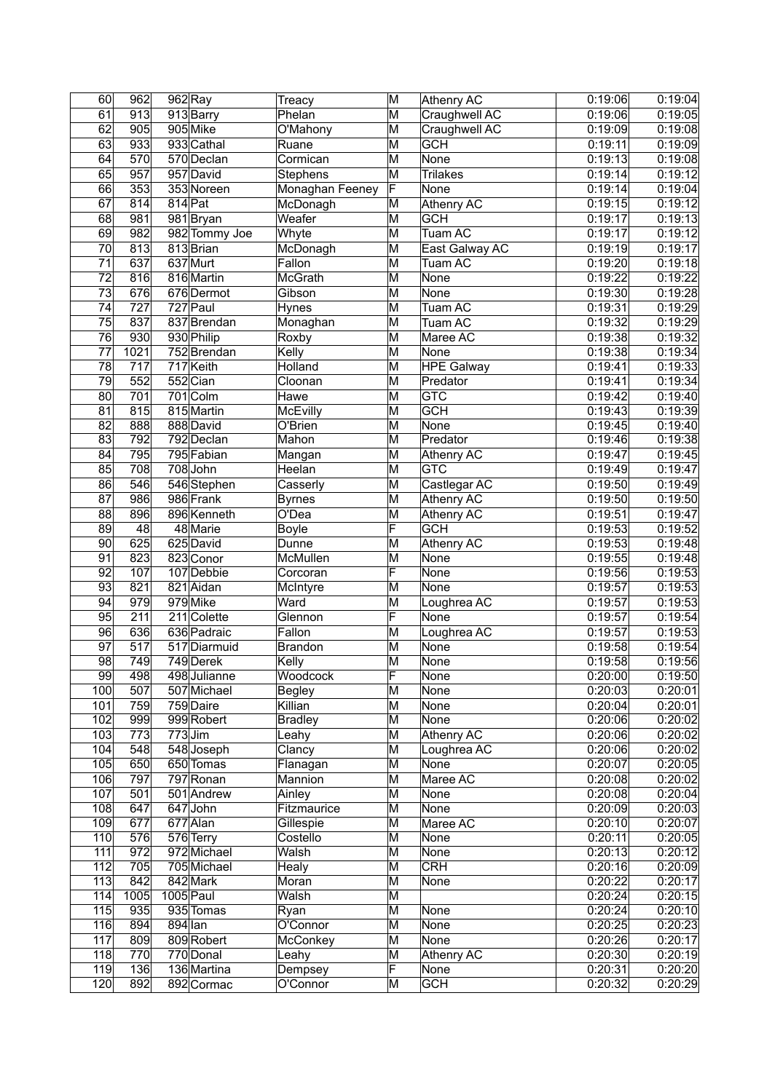| 60               | 962              |           | $962$ Ray     | Treacy          | M                       | Athenry AC        | 0:19:06              | 0:19:04 |
|------------------|------------------|-----------|---------------|-----------------|-------------------------|-------------------|----------------------|---------|
| 61               | 913              |           | 913 Barry     | Phelan          | M                       | Craughwell AC     | 0:19:06              | 0:19:05 |
| 62               | 905              |           | 905 Mike      | O'Mahony        | M                       | Craughwell AC     | 0:19:09              | 0.19:08 |
| 63               | 933              |           | 933 Cathal    | Ruane           | M                       | <b>GCH</b>        | 0:19:11              | 0:19:09 |
| 64               | 570              |           | 570 Declan    | Cormican        | M                       | None              | 0:19:13              | 0:19:08 |
| 65               | 957              |           | 957 David     | Stephens        | M                       | Trilakes          | 0:19:14              | 0:19:12 |
| 66               | 353              |           | 353 Noreen    | Monaghan Feeney | $\overline{\mathsf{F}}$ | None              | 0:19:14              | 0:19:04 |
| 67               | 814              | $814$ Pat |               | McDonagh        | M                       | <b>Athenry AC</b> | 0:19:15              | 0:19:12 |
| 68               | 981              |           | 981 Bryan     | Weafer          | M                       | <b>GCH</b>        | 0:19:17              | 0:19:13 |
| 69               | 982              |           | 982 Tommy Joe | Whyte           | $\overline{\mathsf{M}}$ | Tuam AC           | 0:19:17              | 0:19:12 |
| 70               | 813              |           | 813 Brian     | McDonagh        | $\overline{\mathsf{M}}$ | East Galway AC    | 0:19:19              | 0:19:17 |
| 71               | 637              |           | 637 Murt      | Fallon          | M                       | Tuam AC           | 0:19:20              | 0:19:18 |
| $\overline{72}$  | 816              |           | 816 Martin    | McGrath         | $\overline{\mathsf{M}}$ | None              | 0:19:22              | 0:19:22 |
| 73               | 676              |           | 676 Dermot    | Gibson          | M                       | None              | 0:19:30              | 0:19:28 |
| 74               | 727              |           | 727 Paul      | Hynes           | M                       | Tuam AC           | 0:19:31              | 0:19:29 |
| $\overline{75}$  | 837              |           |               |                 |                         | Tuam AC           |                      |         |
|                  |                  |           | 837 Brendan   | Monaghan        | M                       |                   | 0:19:32              | 0:19:29 |
| 76               | 930              |           | 930 Philip    | Roxby           | M                       | Maree AC          | 0:19:38              | 0:19:32 |
| $\overline{77}$  | 1021             |           | 752 Brendan   | Kelly           | M                       | None              | 0:19:38              | 0:19:34 |
| 78               | $\overline{717}$ |           | 717 Keith     | Holland         | $\overline{\mathsf{M}}$ | <b>HPE Galway</b> | 0:19:41              | 0:19:33 |
| 79               | 552              |           | 552 Cian      | Cloonan         | $\overline{\mathsf{M}}$ | Predator          | 0:19:41              | 0:19:34 |
| 80               | 701              |           | 701 Colm      | Hawe            | $\overline{\mathsf{M}}$ | <b>GTC</b>        | 0:19:42              | 0:19:40 |
| 81               | 815              |           | 815 Martin    | McEvilly        | $\overline{\mathsf{M}}$ | <b>GCH</b>        | 0:19:43              | 0:19:39 |
| $\overline{82}$  | 888              |           | 888 David     | O'Brien         | $\overline{\mathsf{M}}$ | None              | 0:19:45              | 0:19:40 |
| 83               | 792              |           | 792 Declan    | Mahon           | $\overline{\mathsf{M}}$ | Predator          | 0:19:46              | 0:19:38 |
| 84               | 795              |           | 795 Fabian    | Mangan          | M                       | Athenry AC        | 0:19:47              | 0:19:45 |
| 85               | 708              |           | 708 John      | Heelan          | M                       | GTC               | $\overline{0:}19:49$ | 0:19:47 |
| $\overline{86}$  | 546              |           | 546 Stephen   | Casserly        | $\overline{\mathsf{M}}$ | Castlegar AC      | 0:19:50              | 0:19:49 |
| 87               | 986              |           | 986 Frank     | <b>Byrnes</b>   | M                       | <b>Athenry AC</b> | 0:19:50              | 0:19:50 |
| $\overline{88}$  | 896              |           | 896 Kenneth   | O'Dea           | $\overline{\mathsf{M}}$ | <b>Athenry AC</b> | 0:19:51              | 0:19:47 |
| 89               | 48               |           | 48 Marie      | <b>Boyle</b>    | F                       | <b>GCH</b>        | 0:19:53              | 0:19:52 |
| 90               | 625              |           | 625 David     | Dunne           | M                       | <b>Athenry AC</b> | 0:19:53              | 0:19:48 |
| $\overline{91}$  | 823              |           | 823 Conor     | McMullen        | $\overline{\mathsf{M}}$ | None              | 0:19:55              | 0:19:48 |
| $\overline{92}$  | 107              |           | 107 Debbie    | Corcoran        | F                       | None              | 0:19:56              | 0:19:53 |
| 93               | 821              |           | 821 Aidan     | McIntyre        | M                       | None              | 0:19:57              | 0:19:53 |
| 94               | 979              |           | 979 Mike      | Ward            | M                       | Loughrea AC       | 0:19:57              | 0:19:53 |
| $\overline{95}$  | $\overline{211}$ |           | 211 Colette   | Glennon         | F                       | None              | 0:19:57              | 0:19:54 |
| 96               | 636              |           | 636 Padraic   | Fallon          | $\overline{\mathsf{M}}$ | Loughrea AC       | 0:19:57              | 0:19:53 |
| 97               | $\overline{517}$ |           | 517 Diarmuid  | Brandon         | M                       | None              | 0:19:58              | 0:19:54 |
| $\overline{98}$  | 749              |           | 749 Derek     | Kelly           | $\overline{\mathsf{M}}$ | None              | 0:19:58              | 0:19:56 |
| $\overline{99}$  | 498              |           | 498 Julianne  | Woodcock        | F                       | None              | 0:20:00              | 0:19:50 |
|                  |                  |           |               |                 |                         |                   |                      |         |
| 100              | 507              |           | 507 Michael   | Begley          | M                       | None              | 0:20:03              | 0:20:01 |
| 101              | 759              |           | 759 Daire     | Killian         | M                       | None              | 0:20:04              | 0:20:01 |
| 102              | 999              |           | 999 Robert    | <b>Bradley</b>  | M                       | None              | 0:20:06              | 0:20:02 |
| 103              | 773              | $773$ Jim |               | Leahy           | M                       | <b>Athenry AC</b> | 0:20:06              | 0:20:02 |
| 104              | 548              |           | 548 Joseph    | Clancy          | M                       | Loughrea AC       | 0:20:06              | 0:20:02 |
| 105              | 650              |           | 650 Tomas     | Flanagan        | M                       | None              | 0:20:07              | 0:20:05 |
| 106              | 797              |           | 797 Ronan     | Mannion         | M                       | Maree AC          | 0:20:08              | 0:20:02 |
| 107              | 501              |           | 501 Andrew    | Ainley          | M                       | None              | 0:20:08              | 0:20:04 |
| 108              | 647              |           | 647 John      | Fitzmaurice     | M                       | None              | 0:20:09              | 0:20:03 |
| 109              | 677              |           | 677 Alan      | Gillespie       | M                       | Maree AC          | 0:20:10              | 0:20:07 |
| 110              | 576              |           | 576 Terry     | Costello        | M                       | None              | 0:20:11              | 0:20:05 |
| 111              | 972              |           | 972 Michael   | Walsh           | M                       | None              | 0:20:13              | 0:20:12 |
| 112              | 705              |           | 705 Michael   | Healy           | M                       | <b>CRH</b>        | 0:20:16              | 0:20:09 |
| 113              | 842              |           | 842 Mark      | Moran           | M                       | None              | 0:20:22              | 0:20:17 |
| 114              | 1005             | 1005 Paul |               | Walsh           | M                       |                   | 0:20:24              | 0:20:15 |
| $\overline{115}$ | 935              |           | 935 Tomas     | Ryan            | M                       | None              | 0:20:24              | 0:20:10 |
| 116              | 894              | $894$ Ian |               | O'Connor        | M                       | None              | 0:20:25              | 0:20:23 |
| 117              | 809              |           | 809 Robert    | McConkey        | M                       | None              | 0:20:26              | 0:20:17 |
| 118              | 770              |           | 770 Donal     | Leahy           | M                       | <b>Athenry AC</b> | 0:20:30              | 0:20:19 |
| 119              | 136              |           | 136 Martina   | Dempsey         | F                       | None              | 0:20:31              | 0:20:20 |
| 120              | 892              |           | 892 Cormac    | O'Connor        | M                       | <b>GCH</b>        | 0:20:32              | 0:20:29 |
|                  |                  |           |               |                 |                         |                   |                      |         |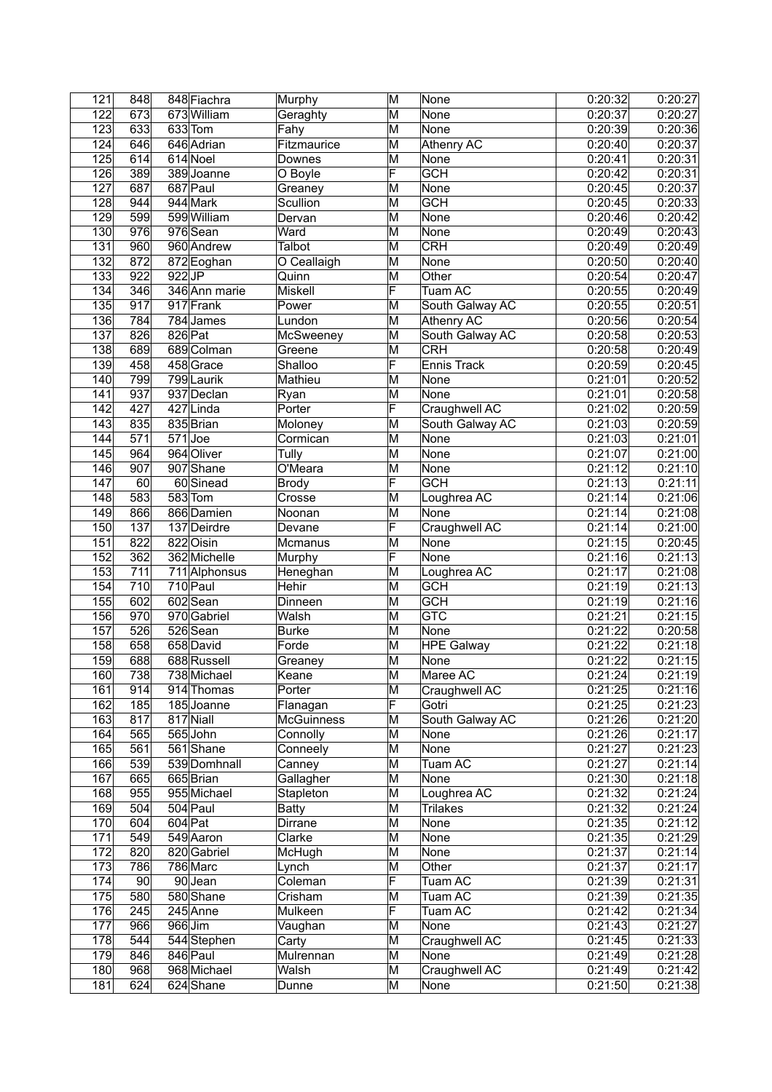| 121              | 848              |          | 848 Fiachra   | Murphy            | M                       | None               | 0:20:32              | 0:20:27 |
|------------------|------------------|----------|---------------|-------------------|-------------------------|--------------------|----------------------|---------|
| 122              | 673              |          | 673 William   | Geraghty          | M                       | None               | 0:20:37              | 0:20:27 |
| 123              | 633              |          | 633 Tom       | Fahy              | M                       | None               | 0:20:39              | 0:20:36 |
| 124              | 646              |          | 646 Adrian    | Fitzmaurice       | M                       | Athenry AC         | 0:20:40              | 0:20:37 |
| 125              | 614              |          | 614 Noel      | Downes            | M                       | None               | 0:20:41              | 0:20:31 |
| 126              | 389              |          | 389 Joanne    | O Boyle           | F                       | <b>GCH</b>         | 0:20:42              | 0:20:31 |
| $\overline{127}$ | 687              |          | 687 Paul      | Greaney           | M                       | None               | 0:20:45              | 0:20:37 |
| $\overline{128}$ | 944              |          | 944 Mark      | Scullion          | M                       | GCH                | 0:20:45              | 0:20:33 |
| 129              | 599              |          | 599 William   | Dervan            | M                       | None               | 0:20:46              | 0:20:42 |
| 130              | 976              |          | 976 Sean      | Ward              | M                       | None               | 0:20:49              | 0:20:43 |
| 131              | 960              |          | 960 Andrew    | <b>Talbot</b>     | $\overline{\mathsf{M}}$ | <b>CRH</b>         | 0:20:49              | 0:20:49 |
| 132              | 872              |          | 872 Eoghan    | O Ceallaigh       | M                       | None               | 0:20:50              | 0:20:40 |
| $\overline{133}$ | $\overline{922}$ | $922$ JP |               | Quinn             | M                       | Other              | 0:20:54              | 0:20:47 |
| 134              | 346              |          | 346 Ann marie | Miskell           | F                       | Tuam AC            | 0:20:55              | 0:20:49 |
| 135              | $\overline{917}$ |          | 917 Frank     | Power             | M                       | South Galway AC    | 0:20:55              | 0:20:51 |
| 136              | 784              |          | 784 James     | Lundon            | M                       | <b>Athenry AC</b>  | 0:20:56              | 0:20:54 |
| 137              | 826              | 826 Pat  |               | McSweeney         | M                       | South Galway AC    | $\overline{0:}20:58$ | 0:20:53 |
| 138              | 689              |          | 689 Colman    | Greene            | M                       | <b>CRH</b>         | 0:20:58              | 0:20:49 |
| 139              | 458              |          | 458 Grace     | Shalloo           | F                       | <b>Ennis Track</b> | 0:20:59              | 0:20:45 |
| 140              | 799              |          | 799 Laurik    | Mathieu           | M                       | None               | 0:21:01              | 0:20:52 |
| 141              | 937              |          | 937 Declan    | Ryan              | M                       | None               | 0:21:01              | 0:20:58 |
| 142              | 427              |          | 427 Linda     | Porter            | F                       | Craughwell AC      | 0:21:02              | 0:20:59 |
| 143              | 835              |          | 835 Brian     | Moloney           | M                       | South Galway AC    | 0:21:03              | 0:20:59 |
|                  | $\overline{571}$ |          | $571$ Joe     |                   |                         | None               |                      |         |
| 144              |                  |          |               | Cormican          | M                       |                    | 0:21:03              | 0:21:01 |
| 145              | 964              |          | 964 Oliver    | Tully             | M                       | None               | 0:21:07              | 0:21:00 |
| 146              | 907              |          | 907 Shane     | O'Meara           | M                       | None               | 0:21:12              | 0:21:10 |
| 147              | 60               |          | 60 Sinead     | <b>Brody</b>      | F                       | <b>GCH</b>         | 0:21:13              | 0:21:11 |
| 148              | 583              |          | 583 Tom       | Crosse            | M                       | Loughrea AC        | 0:21:14              | 0:21:06 |
| 149              | 866              |          | 866 Damien    | Noonan            | M                       | None               | 0:21:14              | 0:21:08 |
| 150              | 137              |          | 137 Deirdre   | Devane            | F                       | Craughwell AC      | 0:21:14              | 0:21:00 |
| 151              | 822              |          | 822 Oisin     | Mcmanus           | M                       | None               | 0:21:15              | 0:20:45 |
| 152              | 362              |          | 362 Michelle  | Murphy            | F                       | None               | 0:21:16              | 0:21:13 |
| 153              | 711              |          | 711 Alphonsus | Heneghan          | M                       | Loughrea AC        | 0:21:17              | 0:21:08 |
| 154              | 710              |          | 710 Paul      | Hehir             | M                       | <b>GCH</b>         | 0:21:19              | 0:21:13 |
| 155              | 602              |          | 602 Sean      | Dinneen           | M                       | <b>GCH</b>         | 0:21:19              | 0:21:16 |
| 156              | $\overline{970}$ |          | 970 Gabriel   | Walsh             | M                       | <b>GTC</b>         | 0:21:21              | 0:21:15 |
| 157              | 526              |          | 526 Sean      | <b>Burke</b>      | $\overline{\mathsf{M}}$ | None               | 0:21:22              | 0:20:58 |
| 158              | 658              |          | 658 David     | Forde             | M                       | <b>HPE</b> Galway  | 0:21:22              | 0:21:18 |
| 159              | 688              |          | 688 Russell   | Greaney           | M                       | None               | 0:21:22              | 0:21:15 |
| 160              | 738              |          | 738 Michael   | Keane             | $\overline{\mathsf{M}}$ | Maree AC           | 0:21:24              | 0:21:19 |
| 161              | 914              |          | 914 Thomas    | Porter            | M                       | Craughwell AC      | 0:21:25              | 0:21:16 |
| 162              | 185              |          | 185 Joanne    | Flanagan          | F                       | Gotri              | 0:21:25              | 0:21:23 |
| 163              | 817              |          | 817 Niall     | <b>McGuinness</b> | M                       | South Galway AC    | 0:21:26              | 0:21:20 |
| 164              | 565              |          | 565 John      | Connolly          | M                       | None               | 0:21:26              | 0:21:17 |
| 165              | 561              |          | 561 Shane     | Conneely          | M                       | None               | 0:21:27              | 0:21:23 |
| 166              | 539              |          | 539 Domhnall  | Canney            | M                       | <b>Tuam AC</b>     | 0:21:27              | 0:21:14 |
| 167              | 665              |          | 665 Brian     | Gallagher         | $\overline{\mathsf{M}}$ | <b>None</b>        | 0:21:30              | 0:21:18 |
| 168              | 955              |          | 955 Michael   | Stapleton         | M                       | Loughrea AC        | 0:21:32              | 0:21:24 |
| 169              | 504              |          | 504 Paul      | <b>Batty</b>      | M                       | <b>Trilakes</b>    | 0:21:32              | 0:21:24 |
| 170              | 604              |          | $604$ Pat     | Dirrane           | M                       | None               | 0:21:35              | 0:21:12 |
| 171              | 549              |          | 549 Aaron     | Clarke            | M                       | None               | 0:21:35              | 0:21:29 |
| 172              | 820              |          | 820 Gabriel   | McHugh            | $\overline{\mathsf{M}}$ | None               | 0:21:37              | 0:21:14 |
| 173              | 786              |          | 786 Marc      | Lynch             | M                       | Other              | 0:21:37              | 0:21:17 |
| 174              | 90               |          | 90 Jean       | Coleman           | F                       | Tuam AC            | 0:21:39              | 0:21:31 |
| 175              | 580              |          | 580 Shane     | Crisham           | M                       | Tuam AC            | 0:21:39              | 0:21:35 |
| 176              | 245              |          | 245 Anne      | Mulkeen           | F                       | Tuam AC            | 0:21:42              | 0:21:34 |
| 177              | 966              |          | 966 Jim       |                   | M                       | None               | 0:21:43              | 0:21:27 |
|                  |                  |          |               | Vaughan           |                         |                    |                      |         |
| 178              | 544              |          | 544 Stephen   | Carty             | M                       | Craughwell AC      | 0:21:45              | 0:21:33 |
| 179              | 846              |          | 846 Paul      | Mulrennan         | M                       | None               | 0:21:49              | 0:21:28 |
| 180              | 968              |          | 968 Michael   | Walsh             | M                       | Craughwell AC      | 0:21:49              | 0:21:42 |
| 181              | 624              |          | 624 Shane     | Dunne             | M                       | None               | 0:21:50              | 0:21:38 |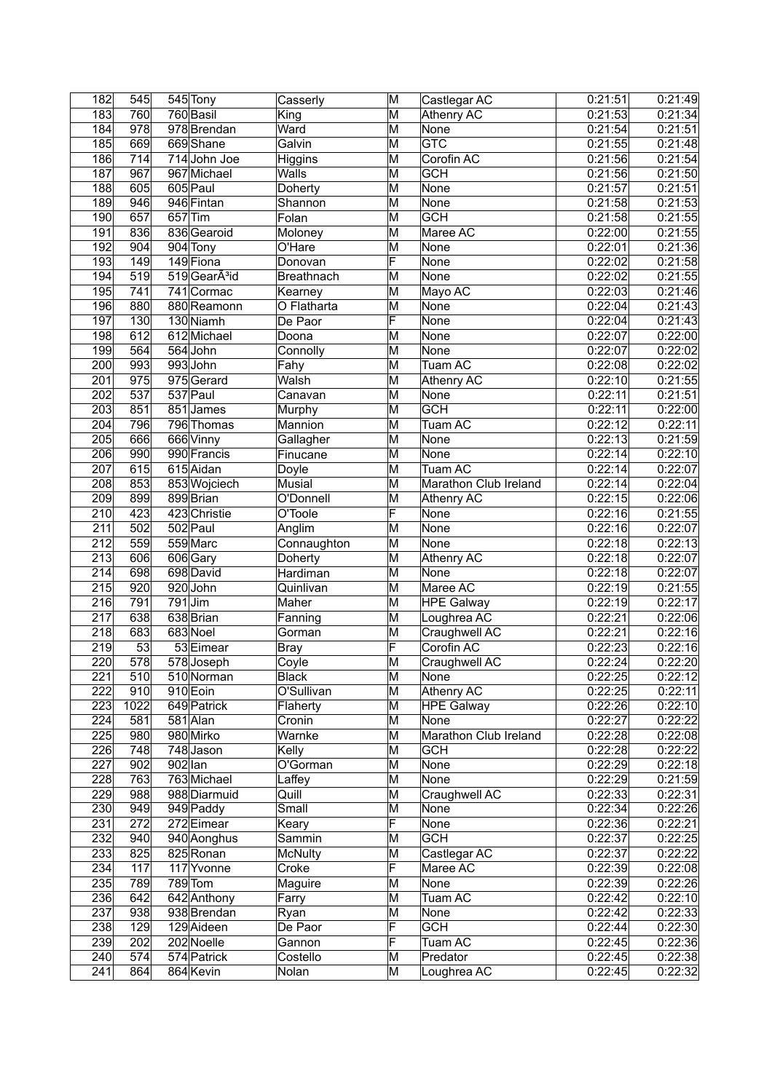| 182              | 545  |           | 545 Tony                 | Casserly       | M                       | Castlegar AC          | 0:21:51 | 0:21:49 |
|------------------|------|-----------|--------------------------|----------------|-------------------------|-----------------------|---------|---------|
| 183              | 760  |           | 760 Basil                | King           | M                       | Athenry AC            | 0:21:53 | 0:21:34 |
| 184              | 978  |           | 978 Brendan              | Ward           | M                       | None                  | 0:21:54 | 0:21:51 |
| 185              | 669  |           | 669Shane                 | Galvin         | M                       | <b>GTC</b>            | 0:21:55 | 0:21:48 |
| 186              | 714  |           | 714 John Joe             | Higgins        | M                       | Corofin AC            | 0:21:56 | 0:21:54 |
| 187              | 967  |           | 967 Michael              | Walls          | M                       | <b>GCH</b>            | 0:21:56 | 0:21:50 |
| 188              | 605  |           | 605 Paul                 | Doherty        | M                       | None                  | 0:21:57 | 0:21:51 |
| 189              | 946  |           | 946 Fintan               | Shannon        | M                       | None                  | 0:21:58 | 0:21:53 |
| 190              | 657  | $657$ Tim |                          | Folan          | M                       | <b>GCH</b>            | 0:21:58 | 0:21:55 |
| 191              | 836  |           | 836 Gearoid              | Moloney        | M                       | Maree AC              | 0:22:00 | 0:21:55 |
| 192              | 904  |           | 904 Tony                 | O'Hare         | M                       | None                  | 0:22:01 | 0:21:36 |
| 193              | 149  |           | 149 Fiona                | Donovan        | F                       | None                  | 0:22:02 | 0:21:58 |
| 194              | 519  |           | 519GearA <sup>3</sup> id | Breathnach     | M                       | None                  | 0:22:02 | 0:21:55 |
| 195              | 741  |           | 741 Cormac               |                | M                       | Mayo AC               | 0:22:03 | 0:21:46 |
|                  |      |           |                          | Kearney        |                         |                       |         |         |
| 196              | 880  |           | 880 Reamonn              | O Flatharta    | M<br>F                  | None                  | 0:22:04 | 0:21:43 |
| 197              | 130  |           | 130 Niamh                | De Paor        |                         | None                  | 0:22:04 | 0:21:43 |
| 198              | 612  |           | 612 Michael              | Doona          | M                       | None                  | 0:22:07 | 0:22:00 |
| 199              | 564  |           | 564 John                 | Connolly       | $\overline{\mathsf{M}}$ | None                  | 0:22:07 | 0:22:02 |
| 200              | 993  |           | 993John                  | Fahy           | M                       | Tuam AC               | 0:22:08 | 0:22:02 |
| 201              | 975  |           | 975 Gerard               | Walsh          | M                       | Athenry AC            | 0:22:10 | 0:21:55 |
| 202              | 537  |           | 537 Paul                 | Canavan        | M                       | None                  | 0:22:11 | 0:21:51 |
| 203              | 851  |           | 851 James                | Murphy         | M                       | <b>GCH</b>            | 0:22:11 | 0:22:00 |
| 204              | 796  |           | 796 Thomas               | Mannion        | M                       | Tuam AC               | 0:22:12 | 0:22:11 |
| 205              | 666  |           | 666 Vinny                | Gallagher      | M                       | None                  | 0:22:13 | 0:21:59 |
| 206              | 990  |           | 990 Francis              | Finucane       | M                       | None                  | 0:22:14 | 0:22:10 |
| 207              | 615  |           | 615 Aidan                | Doyle          | M                       | Tuam AC               | 0:22:14 | 0:22:07 |
| $\overline{208}$ | 853  |           | 853 Wojciech             | Musial         | M                       | Marathon Club Ireland | 0:22:14 | 0:22:04 |
| 209              | 899  |           | 899 Brian                | O'Donnell      | M                       | <b>Athenry AC</b>     | 0:22:15 | 0:22:06 |
| 210              | 423  |           | 423 Christie             | O'Toole        | F                       | None                  | 0:22:16 | 0:21:55 |
|                  |      |           |                          |                |                         |                       |         |         |
| 211              | 502  |           | 502 Paul                 | Anglim         | M                       | None                  | 0:22:16 | 0:22:07 |
| $\overline{212}$ | 559  |           | 559 Marc                 | Connaughton    | M                       | None                  | 0:22:18 | 0:22:13 |
| 213              | 606  |           | 606 Gary                 | Doherty        | M                       | Athenry AC            | 0:22:18 | 0:22:07 |
| $\overline{214}$ | 698  |           | 698 David                | Hardiman       | M                       | None                  | 0:22:18 | 0:22:07 |
| 215              | 920  |           | 920John                  | Quinlivan      | M                       | Maree AC              | 0:22:19 | 0:21:55 |
| 216              | 791  |           | $791$ Jim                | Maher          | M                       | <b>HPE Galway</b>     | 0:22:19 | 0:22:17 |
| $\overline{217}$ | 638  |           | 638 Brian                | Fanning        | M                       | Loughrea AC           | 0:22:21 | 0:22:06 |
| 218              | 683  |           | 683 Noel                 | Gorman         | M                       | Craughwell AC         | 0:22:21 | 0:22:16 |
| 219              | 53   |           | 53 Eimear                | <b>Bray</b>    | F                       | Corofin AC            | 0:22:23 | 0:22:16 |
| $\overline{220}$ | 578  |           | 578 Joseph               | Coyle          | M                       | Craughwell AC         | 0:22:24 | 0:22:20 |
| $\overline{221}$ | 510  |           | 510 Norman               | <b>Black</b>   | M                       | None                  | 0:22:25 | 0:22:12 |
| 222              | 910  |           | 910 Eoin                 | O'Sullivan     | M                       | Athenry AC            | 0:22:25 | 0:22:11 |
| 223              | 1022 |           | 649 Patrick              | Flaherty       | M                       | <b>HPE Galway</b>     | 0:22:26 | 0:22:10 |
| 224              | 581  |           | 581 Alan                 | Cronin         | M                       | None                  | 0:22:27 | 0:22:22 |
| 225              | 980  |           | 980 Mirko                | Warnke         | M                       | Marathon Club Ireland | 0:22:28 | 0:22:08 |
| 226              | 748  |           | 748 Jason                | Kelly          | M                       | <b>GCH</b>            | 0:22:28 | 0:22:22 |
| 227              | 902  | $902$ lan |                          | O'Gorman       | M                       | None                  | 0:22:29 | 0:22:18 |
| 228              | 763  |           | 763 Michael              | Laffey         | M                       | None                  | 0:22:29 | 0:21:59 |
|                  | 988  |           | 988 Diarmuid             |                | M                       | Craughwell AC         |         |         |
| 229              | 949  |           |                          | Quill<br>Small |                         | <b>None</b>           | 0:22:33 | 0:22:31 |
| 230              |      |           | 949 Paddy                |                | M                       |                       | 0:22:34 | 0:22:26 |
| 231              | 272  |           | 272 Eimear               | Keary          | F                       | None                  | 0:22:36 | 0:22:21 |
| 232              | 940  |           | 940 Aonghus              | Sammin         | M                       | <b>GCH</b>            | 0:22:37 | 0:22:25 |
| 233              | 825  |           | 825 Ronan                | <b>McNulty</b> | M                       | Castlegar AC          | 0:22:37 | 0:22:22 |
| 234              | 117  |           | 117 Yvonne               | Croke          | F                       | Maree AC              | 0:22:39 | 0:22:08 |
| 235              | 789  |           | 789 Tom                  | Maguire        | M                       | None                  | 0:22:39 | 0:22:26 |
| 236              | 642  |           | 642 Anthony              | Farry          | M                       | <b>Tuam AC</b>        | 0:22:42 | 0:22:10 |
| 237              | 938  |           | 938 Brendan              | Ryan           | M                       | None                  | 0:22:42 | 0:22:33 |
| 238              | 129  |           | 129 Aideen               | De Paor        | F                       | <b>GCH</b>            | 0:22:44 | 0:22:30 |
| 239              | 202  |           | 202 Noelle               | Gannon         | F                       | <b>Tuam AC</b>        | 0:22:45 | 0:22:36 |
| 240              | 574  |           | 574 Patrick              | Costello       | M                       | Predator              | 0:22:45 | 0:22:38 |
| 241              | 864  |           | 864 Kevin                | Nolan          | M                       | Loughrea AC           | 0:22:45 | 0:22:32 |
|                  |      |           |                          |                |                         |                       |         |         |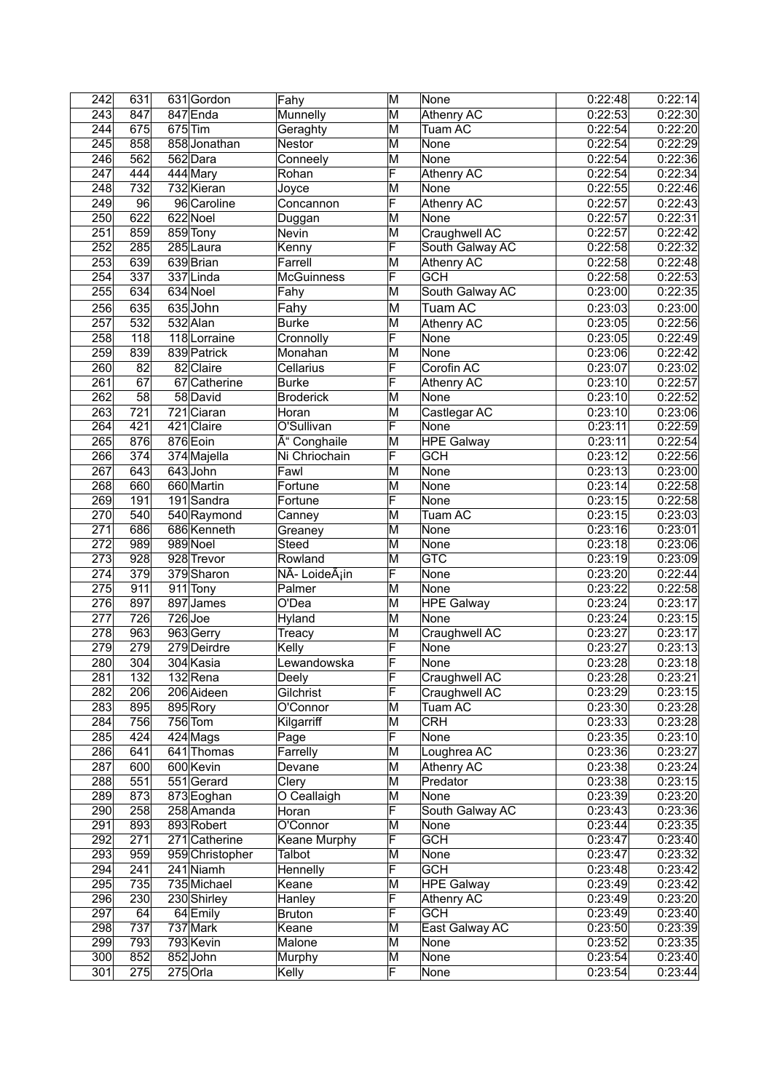| 242              | 631              |           | 631 Gordon      | Fahy                       | M                       | None              | 0:22:48 | 0.22:14 |
|------------------|------------------|-----------|-----------------|----------------------------|-------------------------|-------------------|---------|---------|
| 243              | 847              |           | 847 Enda        | Munnelly                   | M                       | <b>Athenry AC</b> | 0:22:53 | 0:22:30 |
| $\overline{244}$ | 675              | $675$ Tim |                 | Geraghty                   | M                       | Tuam AC           | 0:22:54 | 0:22:20 |
| 245              | 858              |           | 858 Jonathan    | <b>Nestor</b>              | M                       | None              | 0:22:54 | 0:22:29 |
| 246              | 562              |           | 562 Dara        | Conneely                   | M                       | None              | 0:22:54 | 0:22:36 |
| $\overline{247}$ | 444              |           | 444 Mary        | Rohan                      | F                       | <b>Athenry AC</b> | 0:22:54 | 0:22:34 |
| 248              | 732              |           | 732 Kieran      | Joyce                      | $\overline{\mathsf{M}}$ | None              | 0:22:55 | 0:22:46 |
| 249              | 96               |           | 96 Caroline     | Concannon                  | F                       | <b>Athenry AC</b> | 0:22:57 | 0:22:43 |
| 250              | 622              |           | 622 Noel        | Duggan                     | M                       | None              | 0:22:57 | 0:22:31 |
| 251              | 859              |           | 859 Tony        | Nevin                      | M                       | Craughwell AC     | 0:22:57 | 0:22:42 |
| 252              | 285              |           | 285 Laura       | Kenny                      | F                       | South Galway AC   | 0:22:58 | 0:22:32 |
| 253              | 639              |           | 639 Brian       | Farrell                    | $\overline{\mathsf{M}}$ | Athenry AC        | 0:22:58 | 0:22:48 |
| 254              | 337              |           | 337Linda        | <b>McGuinness</b>          | F                       | <b>GCH</b>        | 0:22:58 | 0:22:53 |
| 255              | 634              |           | 634 Noel        | Fahy                       | M                       | South Galway AC   | 0:23:00 | 0:22:35 |
| 256              | 635              |           | 635 John        | Fahy                       | M                       | <b>Tuam AC</b>    | 0:23:03 | 0:23:00 |
| 257              | 532              |           | 532 Alan        | <b>Burke</b>               | M                       | Athenry AC        | 0:23:05 | 0:22:56 |
| 258              | 118              |           | 118 Lorraine    | Cronnolly                  | F                       | None              | 0:23:05 | 0:22:49 |
| 259              | 839              |           | 839 Patrick     | Monahan                    | M                       | None              | 0:23:06 | 0:22:42 |
| 260              | 82               |           | 82 Claire       | Cellarius                  | F                       | Corofin AC        | 0:23:07 | 0:23:02 |
| 261              | $\overline{67}$  |           | 67 Catherine    | <b>Burke</b>               | F                       | <b>Athenry AC</b> | 0:23:10 | 0:22:57 |
| 262              | 58               |           | 58 David        | <b>Broderick</b>           | M                       | None              | 0:23:10 | 0:22:52 |
| 263              | 721              |           | $721$ Ciaran    | Horan                      | M                       | Castlegar AC      | 0:23:10 | 0:23:06 |
| 264              | 421              |           | 421 Claire      | O'Sullivan                 | F                       | None              | 0:23:11 | 0:22:59 |
| 265              | 876              |           | 876 Eoin        | Ó Conghaile                | M                       | <b>HPE Galway</b> | 0:23:11 | 0:22:54 |
| 266              | $\overline{374}$ |           | 374 Majella     | Ni Chriochain              | F                       | <b>GCH</b>        | 0:23:12 | 0:22:56 |
| $\overline{267}$ | 643              |           | 643John         | Fawl                       | M                       | None              | 0:23:13 | 0:23:00 |
| 268              | 660              |           | 660 Martin      | Fortune                    | M                       | None              | 0:23:14 | 0:22:58 |
| 269              | 191              |           | 191 Sandra      | Fortune                    | F                       | None              | 0:23:15 | 0:22:58 |
| 270              | 540              |           | 540 Raymond     | Canney                     | M                       | Tuam AC           | 0:23:15 | 0:23:03 |
| $\overline{271}$ | 686              |           | 686 Kenneth     | Greaney                    | M                       | None              | 0:23:16 | 0:23:01 |
| $\overline{272}$ | 989              |           | 989 Noel        | Steed                      | $\overline{\mathsf{M}}$ | None              | 0:23:18 | 0:23:06 |
| $\overline{273}$ | $\overline{928}$ |           | 928 Trevor      | Rowland                    | $\overline{\mathsf{M}}$ | <b>GTC</b>        | 0:23:19 | 0:23:09 |
| $\overline{274}$ | 379              |           | 379 Sharon      | NÃ- LoideÃ <sub>i</sub> in | F                       | None              | 0:23:20 | 0:22:44 |
| 275              | 911              |           | 911 Tony        | Palmer                     | M                       | None              | 0:23:22 | 0:22:58 |
| 276              | 897              |           | 897 James       | O'Dea                      | M                       | <b>HPE</b> Galway | 0:23:24 | 0:23:17 |
| 277              | 726              |           | $726$ Joe       | Hyland                     | M                       | None              | 0:23:24 | 0:23:15 |
| 278              | 963              |           | 963 Gerry       | Treacy                     | M                       | Craughwell AC     | 0:23:27 | 0:23:17 |
| 279              | 279              |           | 279 Deirdre     | Kelly                      | F                       | None              | 0:23:27 | 0:23:13 |
| 280              | 304              |           | 304 Kasia       | Lewandowska                | F                       | None              | 0:23:28 | 0:23:18 |
| 281              | $\overline{132}$ |           | 132 Rena        | Deely                      | F                       | Craughwell AC     | 0:23:28 | 0:23:21 |
| 282              | 206              |           | 206 Aideen      | Gilchrist                  | F                       | Craughwell AC     | 0:23:29 | 0:23:15 |
| 283              | 895              |           | 895 Rory        | O'Connor                   | M                       | Tuam AC           | 0:23:30 | 0:23:28 |
| 284              | 756              |           | $756$ Tom       | Kilgarriff                 | M                       | <b>CRH</b>        | 0:23:33 | 0:23:28 |
| 285              | 424              |           | 424 Mags        | Page                       | $\overline{\mathsf{F}}$ | None              | 0:23:35 | 0:23:10 |
| 286              | 641              |           | 641 Thomas      | Farrelly                   | M                       | Loughrea AC       | 0:23:36 | 0:23:27 |
| 287              | 600              |           | 600 Kevin       | Devane                     | M                       | Athenry AC        | 0:23:38 | 0:23:24 |
| 288              | 551              |           | 551 Gerard      | Clery                      | M                       | Predator          | 0:23:38 | 0:23:15 |
| 289              | 873              |           | 873 Eoghan      | O Ceallaigh                | M                       | None              | 0:23:39 | 0:23:20 |
| 290              | 258              |           | 258 Amanda      | Horan                      | F                       | South Galway AC   | 0:23:43 | 0:23:36 |
| $\overline{291}$ | 893              |           | 893 Robert      | O'Connor                   | M                       | None              | 0:23:44 | 0:23:35 |
| 292              | 271              |           | 271 Catherine   | Keane Murphy               | F                       | <b>GCH</b>        | 0:23:47 | 0:23:40 |
| 293              | 959              |           | 959 Christopher | Talbot                     | M                       | None              | 0:23:47 | 0:23:32 |
| 294              | 241              |           | 241 Niamh       | Hennelly                   | F                       | <b>GCH</b>        | 0:23:48 | 0:23:42 |
| 295              | 735              |           | 735 Michael     | Keane                      | M                       | <b>HPE Galway</b> | 0:23:49 | 0:23:42 |
| 296              | 230              |           | 230 Shirley     | Hanley                     | F                       | Athenry AC        | 0:23:49 | 0:23:20 |
| 297              | 64               |           | 64 Emily        | <b>Bruton</b>              | F                       | <b>GCH</b>        | 0:23:49 | 0:23:40 |
| 298              | 737              |           | 737 Mark        | Keane                      | M                       | East Galway AC    | 0:23:50 | 0:23:39 |
| 299              | 793              |           | 793 Kevin       | Malone                     | M                       | None              | 0:23:52 | 0:23:35 |
| 300              | 852              |           | 852John         | Murphy                     | M                       | None              | 0:23:54 | 0:23:40 |
| 301              | 275              |           | $275$ Orla      | Kelly                      | F                       | None              | 0:23:54 | 0:23:44 |
|                  |                  |           |                 |                            |                         |                   |         |         |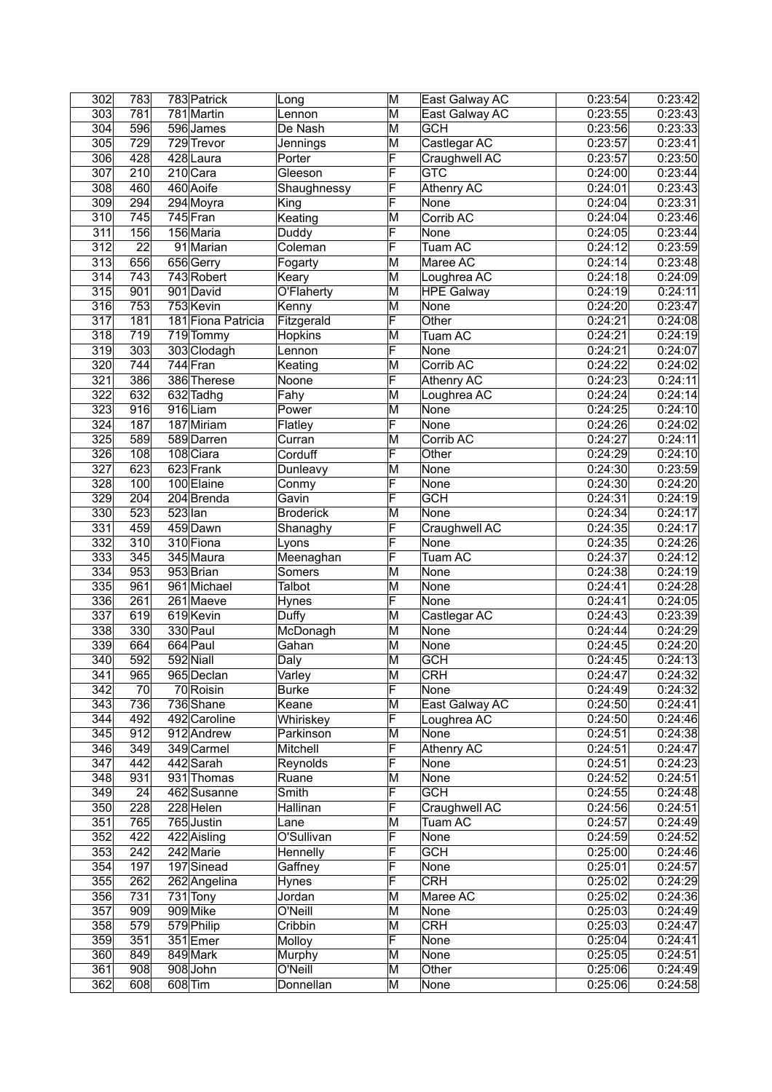| 302              | 783              |           | 783 Patrick        | Long             | M                       | East Galway AC    | 0:23:54 | 0:23:42 |
|------------------|------------------|-----------|--------------------|------------------|-------------------------|-------------------|---------|---------|
| 303              | 781              |           | 781 Martin         | Lennon           | M                       | East Galway AC    | 0:23:55 | 0:23:43 |
| 304              | 596              |           | 596 James          | De Nash          | M                       | <b>GCH</b>        | 0:23:56 | 0:23:33 |
| 305              | 729              |           | 729 Trevor         | Jennings         | M                       | Castlegar AC      | 0:23:57 | 0:23:41 |
| 306              | 428              |           | 428 Laura          | Porter           | F                       | Craughwell AC     | 0:23:57 | 0:23:50 |
| 307              | 210              |           | 210 Cara           | Gleeson          | F                       | <b>GTC</b>        | 0:24:00 | 0:23:44 |
| 308              | 460              |           | 460 Aoife          | Shaughnessy      | F                       | Athenry AC        | 0:24:01 | 0:23:43 |
| 309              | 294              |           | 294 Moyra          | King             | F                       | None              | 0:24:04 | 0:23:31 |
| $\overline{3}10$ | 745              |           | 745 Fran           | Keating          | M                       | Corrib AC         | 0:24:04 | 0:23:46 |
| 311              | 156              |           | 156 Maria          | Duddy            | F                       | None              | 0:24:05 | 0:23:44 |
| 312              | $\overline{22}$  |           | 91 Marian          | Coleman          | F                       | Tuam AC           | 0:24:12 | 0:23:59 |
| 313              | 656              |           | 656 Gerry          | Fogarty          | M                       | Maree AC          | 0:24:14 | 0:23:48 |
| 314              | 743              |           | 743 Robert         | Keary            | M                       | Loughrea AC       | 0:24:18 | 0:24:09 |
| 315              | 901              |           | 901 David          | O'Flaherty       | M                       | <b>HPE Galway</b> | 0:24:19 | 0:24:11 |
| $\overline{316}$ | 753              |           | 753 Kevin          | Kenny            | M                       | None              | 0:24:20 | 0:23:47 |
| $\overline{317}$ | 181              |           | 181 Fiona Patricia | Fitzgerald       | F                       | Other             | 0:24:21 | 0:24:08 |
| 318              | $\overline{719}$ |           | 719 Tommy          | Hopkins          | M                       | Tuam AC           | 0:24:21 | 0:24:19 |
| 319              | 303              |           | 303 Clodagh        | Lennon           | F                       | None              | 0:24:21 | 0:24:07 |
| 320              | 744              |           | 744 Fran           | Keating          | M                       | Corrib AC         | 0:24:22 | 0:24:02 |
| 321              | 386              |           | 386 Therese        |                  | F                       |                   | 0:24:23 | 0:24:11 |
|                  |                  |           |                    | Noone            |                         | Athenry AC        |         |         |
| 322              | 632              |           | 632 Tadhg          | Fahy             | M                       | Loughrea AC       | 0:24:24 | 0:24:14 |
| 323              | 916              |           | 916Liam            | Power            | M                       | None              | 0:24:25 | 0:24:10 |
| 324              | 187              |           | 187 Miriam         | Flatley          | F                       | None              | 0:24:26 | 0:24:02 |
| 325              | 589              |           | 589 Darren         | Curran           | M                       | Corrib AC         | 0:24:27 | 0:24:11 |
| 326              | 108              |           | 108 Ciara          | Corduff          | F                       | Other             | 0:24:29 | 0:24:10 |
| 327              | 623              |           | 623 Frank          | Dunleavy         | M                       | None              | 0:24:30 | 0:23:59 |
| 328              | 100              |           | 100 Elaine         | Conmy            | F                       | None              | 0:24:30 | 0:24:20 |
| 329              | $\overline{204}$ |           | 204 Brenda         | Gavin            | F                       | <b>GCH</b>        | 0:24:31 | 0:24:19 |
| 330              | 523              | $523$ lan |                    | <b>Broderick</b> | M                       | None              | 0:24:34 | 0:24:17 |
| 331              | 459              |           | 459 Dawn           | Shanaghy         | F                       | Craughwell AC     | 0:24:35 | 0:24:17 |
| 332              | 310              |           | 310 Fiona          | Lyons            | F                       | None              | 0:24:35 | 0:24:26 |
| 333              | 345              |           | 345 Maura          | Meenaghan        | F                       | Tuam AC           | 0:24:37 | 0:24:12 |
| 334              | 953              |           | 953 Brian          | Somers           | M                       | None              | 0:24:38 | 0:24:19 |
| 335              | 961              |           | 961 Michael        | Talbot           | M                       | None              | 0.24:41 | 0:24:28 |
| 336              | 261              |           | 261 Maeve          | Hynes            | F                       | None              | 0:24:41 | 0:24:05 |
| 337              | 619              |           | 619 Kevin          | Duffy            | M                       | Castlegar AC      | 0:24:43 | 0:23:39 |
| 338              | 330              |           | 330 Paul           | McDonagh         | M                       | None              | 0:24:44 | 0:24:29 |
| 339              | 664              |           | 664 Paul           | Gahan            | M                       | None              | 0:24:45 | 0:24:20 |
| 340              | 592              |           | 592 Niall          | Daly             | M                       | <b>GCH</b>        | 0:24:45 | 0:24:13 |
| 341              | 965              |           | 965 Declan         | Varley           | $\overline{\mathsf{M}}$ | <b>CRH</b>        | 0:24:47 | 0:24:32 |
| 342              | 70               |           | 70 Roisin          | <b>Burke</b>     | F                       | None              | 0:24:49 | 0:24:32 |
| 343              | 736              |           | 736 Shane          | Keane            | M                       | East Galway AC    | 0:24:50 | 0:24:41 |
| 344              | 492              |           | 492 Caroline       | Whiriskey        | F                       | Loughrea AC       | 0:24:50 | 0:24:46 |
| 345              | 912              |           | 912 Andrew         | Parkinson        | M                       | None              | 0:24:51 | 0:24:38 |
| 346              | 349              |           | 349 Carmel         | Mitchell         | F                       | <b>Athenry AC</b> | 0:24:51 | 0:24:47 |
| $\overline{347}$ | 442              |           | 442 Sarah          | Reynolds         | F                       | None              | 0:24:51 | 0:24:23 |
| 348              | 931              |           | 931 Thomas         | Ruane            | M                       | None              | 0:24:52 | 0:24:51 |
| 349              | 24               |           | 462 Susanne        | Smith            | F                       | <b>GCH</b>        | 0:24:55 | 0:24:48 |
| 350              | 228              |           | $228$ Helen        | Hallinan         | F                       | Craughwell AC     | 0:24:56 | 0:24:51 |
| 351              | 765              |           | 765 Justin         | Lane             | M                       | Tuam AC           | 0:24:57 | 0:24:49 |
| 352              | 422              |           | 422 Aisling        | O'Sullivan       | $\overline{\mathsf{F}}$ | None              | 0:24:59 | 0:24:52 |
| 353              | 242              |           | 242 Marie          | Hennelly         | F                       | <b>GCH</b>        | 0:25:00 | 0:24:46 |
| 354              | 197              |           | 197 Sinead         | Gaffney          | F                       | None              | 0:25:01 | 0:24:57 |
| 355              | 262              |           | 262 Angelina       | Hynes            | F                       | <b>CRH</b>        | 0:25:02 | 0:24:29 |
| 356              | 731              |           | $731$ Tony         | Jordan           | M                       | Maree AC          | 0:25:02 | 0:24:36 |
| 357              | 909              |           | 909 Mike           | O'Neill          | M                       | None              | 0:25:03 | 0:24:49 |
| 358              | 579              |           | 579 Philip         | Cribbin          | M                       | <b>CRH</b>        | 0:25:03 | 0:24:47 |
| 359              | 351              |           | 351 Emer           | Molloy           | F                       | None              | 0:25:04 | 0:24:41 |
| 360              | 849              |           | 849 Mark           | Murphy           | M                       | None              | 0:25:05 | 0:24:51 |
| 361              | 908              |           | 908 John           | O'Neill          | M                       | Other             | 0:25:06 | 0:24:49 |
| 362              | 608              |           |                    |                  |                         |                   |         |         |
|                  |                  |           | 608 Tim            | Donnellan        | M                       | None              | 0:25:06 | 0:24:58 |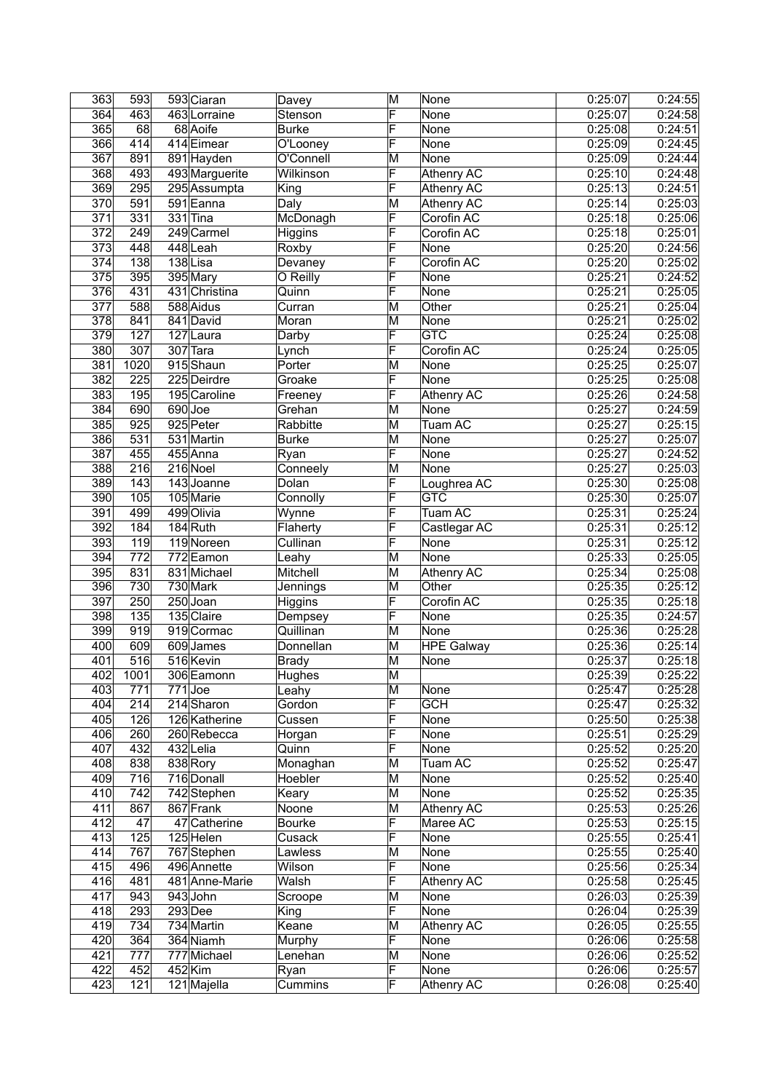| 363              | 593               | 593 Ciaran     | Davey         | M                       | None              | 0:25:07 | 0:24:55 |
|------------------|-------------------|----------------|---------------|-------------------------|-------------------|---------|---------|
| 364              | 463               | 463 Lorraine   | Stenson       | F                       | None              | 0:25:07 | 0:24:58 |
| 365              | 68                | 68 Aoife       | <b>Burke</b>  | F                       | None              | 0:25:08 | 0:24:51 |
| 366              | 414               | 414 Eimear     | O'Looney      | F                       | None              | 0:25:09 | 0:24:45 |
| 367              | 891               | 891 Hayden     | O'Connell     | M                       | None              | 0:25:09 | 0:24:44 |
| 368              | 493               | 493 Marguerite | Wilkinson     | F                       | <b>Athenry AC</b> | 0:25:10 | 0:24:48 |
| 369              | 295               | 295 Assumpta   | King          | F                       | <b>Athenry AC</b> | 0:25:13 | 0:24:51 |
| $\overline{370}$ | 591               | 591 Eanna      | Daly          | M                       | <b>Athenry AC</b> | 0:25:14 | 0:25:03 |
| $\overline{371}$ | 331               | $331$ Tina     | McDonagh      | F                       | Corofin AC        | 0:25:18 | 0:25:06 |
| 372              | 249               | $249$ Carmel   | Higgins       | F                       | Corofin AC        | 0:25:18 | 0:25:01 |
| 373              | 448               | 448Leah        | Roxby         | F                       | None              | 0:25:20 | 0:24:56 |
| 374              | 138               | 138Lisa        | Devaney       | F                       | Corofin AC        | 0:25:20 | 0:25:02 |
| 375              | 395               | 395 Mary       | O Reilly      | F                       | None              | 0:25:21 | 0:24:52 |
| 376              | 431               | 431 Christina  | Quinn         | F                       | None              | 0:25:21 | 0:25:05 |
| $\overline{377}$ | 588               | 588 Aidus      | Curran        | M                       | Other             | 0:25:21 | 0:25:04 |
| 378              | 841               | 841 David      | Moran         | M                       | None              | 0:25:21 | 0:25:02 |
| 379              | 127               | 127 Laura      | Darby         | F                       | <b>GTC</b>        | 0:25:24 | 0:25:08 |
| 380              | 307               | 307 Tara       | Lynch         | F                       | Corofin AC        | 0:25:24 | 0:25:05 |
| 381              | 1020              | 915Shaun       | Porter        | M                       | None              | 0:25:25 | 0:25:07 |
| 382              | $\overline{225}$  | 225 Deirdre    | Groake        | F                       | None              | 0:25:25 | 0:25:08 |
| 383              | 195               | 195 Caroline   | Freeney       | F                       | Athenry AC        | 0:25:26 | 0:24:58 |
| 384              | 690               | 690Joe         | Grehan        | M                       | None              | 0:25:27 | 0:24:59 |
| 385              | 925               | 925 Peter      | Rabbitte      | M                       | Tuam AC           | 0:25:27 | 0:25:15 |
| 386              | 531               | 531 Martin     | <b>Burke</b>  | M                       | None              | 0:25:27 | 0:25:07 |
| 387              | 455               | 455 Anna       | Ryan          | F                       | None              | 0:25:27 | 0:24:52 |
| 388              | 216               | 216 Noel       | Conneely      | M                       | None              | 0:25:27 | 0:25:03 |
| 389              | 143               | 143 Joanne     | Dolan         | F                       | Loughrea AC       | 0:25:30 | 0:25:08 |
| 390              | 105               | 105 Marie      | Connolly      | F                       | <b>GTC</b>        | 0:25:30 | 0:25:07 |
| 391              | 499               | 499 Olivia     | Wynne         | F                       | Tuam AC           | 0:25:31 | 0:25:24 |
| 392              | 184               | 184 Ruth       | Flaherty      | F                       | Castlegar AC      | 0:25:31 | 0:25:12 |
| 393              | 119               | 119 Noreen     | Cullinan      | F                       | None              | 0:25:31 | 0:25:12 |
| 394              | 772               | 772 Eamon      | Leahy         | $\overline{\mathsf{M}}$ | None              | 0:25:33 | 0:25:05 |
| 395              | 831               | 831 Michael    | Mitchell      | M                       | Athenry AC        | 0:25:34 | 0:25:08 |
| 396              | 730               | 730 Mark       | Jennings      | M                       | Other             | 0:25:35 | 0:25:12 |
| 397              | 250               | $250$ Joan     | Higgins       | F                       | Corofin AC        | 0:25:35 | 0:25:18 |
| 398              | $\overline{135}$  | 135 Claire     | Dempsey       | F                       | None              | 0:25:35 | 0:24:57 |
| 399              | 919               | 919 Cormac     | Quillinan     | M                       | None              | 0:25:36 | 0:25:28 |
| 400              | 609               | 609 James      | Donnellan     | M                       | <b>HPE</b> Galway | 0:25:36 | 0:25:14 |
| 401              | 516               | 516 Kevin      | <b>Brady</b>  | M                       | None              | 0:25:37 | 0:25:18 |
| 402              | $\overline{1001}$ | 306 Eamonn     | Hughes        | M                       |                   | 0:25:39 | 0:25:22 |
| 403              | 771               | $771$ Joe      | Leahy         | M                       | None              | 0:25:47 | 0:25:28 |
| 404              | 214               | 214 Sharon     | Gordon        | F                       | <b>GCH</b>        | 0:25:47 | 0:25:32 |
| 405              | 126               | 126 Katherine  | Cussen        | F                       | None              | 0:25:50 | 0:25:38 |
| 406              | 260               | 260 Rebecca    | Horgan        | F                       | None              | 0:25:51 | 0:25:29 |
| 407              | 432               | 432 Lelia      | Quinn         | F                       | None              | 0:25:52 | 0:25:20 |
| 408              | 838               | 838 Rory       | Monaghan      | M                       | <b>Tuam AC</b>    | 0:25:52 | 0:25:47 |
| 409              | 716               | 716 Donall     | Hoebler       | M                       | None              | 0:25:52 | 0:25:40 |
| 410              | $\overline{742}$  | 742 Stephen    | Keary         | M                       | None              | 0:25:52 | 0:25:35 |
| 411              | 867               | 867 Frank      | Noone         | M                       | <b>Athenry AC</b> | 0:25:53 | 0:25:26 |
| 412              | $\overline{47}$   | 47 Catherine   | <b>Bourke</b> | F                       | Maree AC          | 0:25:53 | 0:25:15 |
| 413              | 125               | $125$ Helen    | Cusack        | F                       | None              | 0:25:55 | 0:25:41 |
| 414              | 767               | 767 Stephen    | Lawless       | M                       | None              | 0:25:55 | 0:25:40 |
| 415              | 496               | 496 Annette    | Wilson        | F                       | None              | 0:25:56 | 0:25:34 |
| 416              | 481               | 481 Anne-Marie | Walsh         | F                       | Athenry AC        | 0:25:58 | 0:25:45 |
| 417              | 943               | 943 John       | Scroope       | M                       | None              | 0:26:03 | 0:25:39 |
| 418              | 293               | $293$ Dee      | King          | F                       | None              | 0:26:04 | 0:25:39 |
| 419              | 734               | 734 Martin     | Keane         | M                       | Athenry AC        | 0:26:05 | 0:25:55 |
| 420              | 364               | 364 Niamh      | Murphy        | F                       | None              | 0:26:06 | 0:25:58 |
| 421              | 777               | 777 Michael    | Lenehan       | M                       | None              | 0:26:06 | 0:25:52 |
| 422              | 452               | $452$ Kim      |               | F                       | None              | 0:26:06 | 0:25:57 |
|                  |                   |                | Ryan          | $\overline{\mathsf{F}}$ |                   |         |         |
| 423              | 121               | 121 Majella    | Cummins       |                         | Athenry AC        | 0:26:08 | 0:25:40 |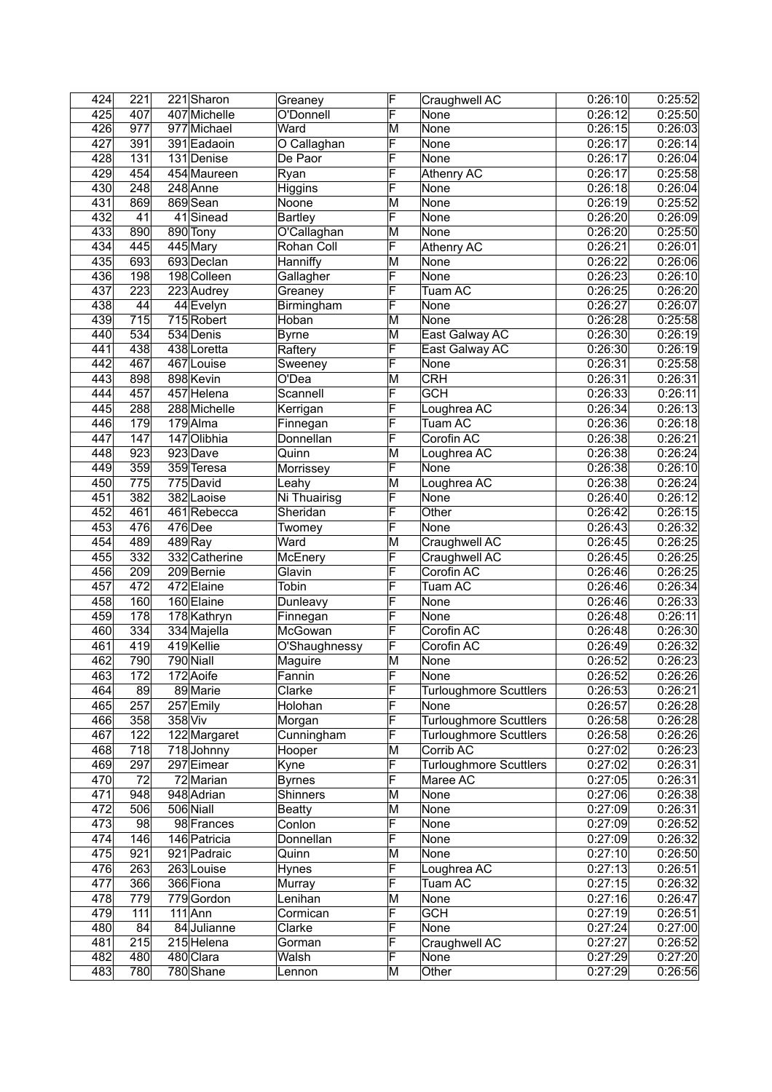| 424 | 221 |         | 221 Sharon    | Greaney            | F                       | Craughwell AC                 | 0:26:10 | 0:25:52 |
|-----|-----|---------|---------------|--------------------|-------------------------|-------------------------------|---------|---------|
| 425 | 407 |         | 407 Michelle  | O'Donnell          | F                       | None                          | 0:26:12 | 0:25:50 |
| 426 | 977 |         | 977 Michael   | Ward               | M                       | None                          | 0:26:15 | 0:26:03 |
| 427 | 391 |         | 391 Eadaoin   | O Callaghan        | F                       | None                          | 0:26:17 | 0:26:14 |
| 428 | 131 |         | 131 Denise    | De Paor            | F                       | None                          | 0:26:17 | 0:26:04 |
| 429 | 454 |         | 454 Maureen   | Ryan               | F                       | <b>Athenry AC</b>             | 0:26:17 | 0:25:58 |
| 430 | 248 |         | 248 Anne      | Higgins            | F                       | None                          | 0:26:18 | 0:26:04 |
| 431 | 869 |         | 869 Sean      | Noone              | M                       | None                          | 0:26:19 | 0:25:52 |
| 432 | 41  |         | 41 Sinead     | Bartley            | F                       | None                          | 0:26:20 | 0:26:09 |
| 433 | 890 |         | 890 Tony      | O'Callaghan        | M                       | None                          | 0:26:20 | 0:25:50 |
| 434 | 445 |         | 445 Mary      | Rohan Coll         | F                       | <b>Athenry AC</b>             | 0:26:21 | 0:26:01 |
| 435 | 693 |         | 693 Declan    | Hanniffy           | M                       | None                          | 0:26:22 | 0:26:06 |
| 436 | 198 |         | 198 Colleen   | Gallagher          | F                       | None                          | 0:26:23 | 0:26:10 |
| 437 | 223 |         | 223 Audrey    | Greaney            | F                       | Tuam AC                       | 0:26:25 | 0:26:20 |
| 438 | 44  |         | 44 Evelyn     | Birmingham         | F                       | None                          | 0:26:27 | 0:26:07 |
| 439 | 715 |         | 715 Robert    | Hoban              | $\overline{\mathsf{M}}$ | None                          | 0:26:28 | 0:25:58 |
| 440 | 534 |         | 534 Denis     | <b>Byrne</b>       | M                       | East Galway AC                | 0:26:30 | 0:26:19 |
| 441 | 438 |         | 438 Loretta   | Raftery            | F                       | East Galway AC                | 0:26:30 | 0:26:19 |
| 442 | 467 |         | 467 Louise    | Sweeney            | F                       | None                          | 0:26:31 | 0:25:58 |
| 443 | 898 |         | 898 Kevin     | O'Dea              | M                       | <b>CRH</b>                    | 0:26:31 | 0:26:31 |
| 444 | 457 |         | 457 Helena    | Scannell           | F                       | <b>GCH</b>                    | 0:26:33 | 0:26:11 |
| 445 | 288 |         | 288 Michelle  | Kerrigan           | F                       | Loughrea AC                   | 0:26:34 | 0:26:13 |
| 446 | 179 |         | 179 Alma      |                    | F                       | Tuam AC                       | 0:26:36 | 0:26:18 |
| 447 | 147 |         | 147 Olibhia   | Finnegan           | F                       | Corofin AC                    |         | 0:26:21 |
| 448 | 923 |         | 923 Dave      | Donnellan<br>Quinn | M                       |                               | 0:26:38 | 0:26:24 |
|     |     |         |               |                    | F                       | Loughrea AC                   | 0:26:38 |         |
| 449 | 359 |         | 359 Teresa    | Morrissey          |                         | None                          | 0:26:38 | 0:26:10 |
| 450 | 775 |         | $775$ David   | Leahy              | M                       | Loughrea AC                   | 0:26:38 | 0:26:24 |
| 451 | 382 |         | 382 Laoise    | Ni Thuairisg       | F                       | None                          | 0:26:40 | 0:26:12 |
| 452 | 461 |         | 461 Rebecca   | Sheridan           | F                       | Other                         | 0:26:42 | 0:26:15 |
| 453 | 476 |         | $476$ Dee     | Twomey             | F                       | None                          | 0:26:43 | 0:26:32 |
| 454 | 489 |         | $489$ Ray     | Ward               | M                       | Craughwell AC                 | 0:26:45 | 0:26:25 |
| 455 | 332 |         | 332 Catherine | McEnery            | F                       | Craughwell AC                 | 0:26:45 | 0:26:25 |
| 456 | 209 |         | 209 Bernie    | Glavin             | F                       | Corofin AC                    | 0:26:46 | 0:26:25 |
| 457 | 472 |         | 472 Elaine    | Tobin              | F                       | Tuam AC                       | 0:26:46 | 0:26:34 |
| 458 | 160 |         | 160 Elaine    | Dunleavy           | F                       | None                          | 0:26:46 | 0:26:33 |
| 459 | 178 |         | 178 Kathryn   | Finnegan           | F                       | None                          | 0:26:48 | 0:26:11 |
| 460 | 334 |         | 334 Majella   | McGowan            | F                       | Corofin AC                    | 0:26:48 | 0:26:30 |
| 461 | 419 |         | 419 Kellie    | O'Shaughnessy      | F                       | Corofin AC                    | 0:26:49 | 0:26:32 |
| 462 | 790 |         | 790 Niall     | Maguire            | M                       | None                          | 0:26:52 | 0:26:23 |
| 463 | 172 |         | 172 Aoife     | Fannin             | F                       | None                          | 0:26:52 | 0:26:26 |
| 464 | 89  |         | 89 Marie      | Clarke             | F                       | <b>Turloughmore Scuttlers</b> | 0:26:53 | 0:26:21 |
| 465 | 257 |         | 257 Emily     | Holohan            | F                       | None                          | 0:26:57 | 0:26:28 |
| 466 | 358 | 358 Viv |               | Morgan             | F                       | <b>Turloughmore Scuttlers</b> | 0:26:58 | 0:26:28 |
| 467 | 122 |         | 122 Margaret  | Cunningham         | F                       | <b>Turloughmore Scuttlers</b> | 0:26:58 | 0:26:26 |
| 468 | 718 |         | 718 Johnny    | Hooper             | M                       | Corrib AC                     | 0:27:02 | 0:26:23 |
| 469 | 297 |         | 297 Eimear    | Kyne               | F                       | <b>Turloughmore Scuttlers</b> | 0:27:02 | 0:26:31 |
| 470 | 72  |         | 72 Marian     | <b>Byrnes</b>      | F                       | Maree AC                      | 0:27:05 | 0:26:31 |
| 471 | 948 |         | 948 Adrian    | Shinners           | M                       | None                          | 0:27:06 | 0:26:38 |
| 472 | 506 |         | 506 Niall     | <b>Beatty</b>      | M                       | None                          | 0:27:09 | 0:26:31 |
| 473 | 98  |         | 98 Frances    | Conlon             | F                       | None                          | 0:27:09 | 0:26:52 |
| 474 | 146 |         | 146 Patricia  | Donnellan          | F                       | None                          | 0:27:09 | 0:26:32 |
| 475 | 921 |         | 921 Padraic   | Quinn              | M                       | None                          | 0:27:10 | 0:26:50 |
| 476 | 263 |         | $263$ Louise  | <b>Hynes</b>       | F                       | Loughrea AC                   | 0:27:13 | 0:26:51 |
| 477 | 366 |         | 366 Fiona     | Murray             | F                       | Tuam AC                       | 0:27:15 | 0:26:32 |
| 478 | 779 |         | 779 Gordon    | Lenihan            | M                       | None                          | 0:27:16 | 0:26:47 |
| 479 | 111 |         | $111$ Ann     | Cormican           | F                       | <b>GCH</b>                    | 0:27:19 | 0:26:51 |
| 480 | 84  |         | 84 Julianne   | Clarke             | F                       | <b>None</b>                   | 0:27:24 | 0:27:00 |
| 481 | 215 |         | 215 Helena    | Gorman             | F                       | Craughwell AC                 | 0:27:27 | 0:26:52 |
| 482 | 480 |         | 480 Clara     | Walsh              | F                       | None                          | 0:27:29 | 0:27:20 |
| 483 | 780 |         | 780 Shane     | Lennon             | M                       | Other                         | 0:27:29 | 0:26:56 |
|     |     |         |               |                    |                         |                               |         |         |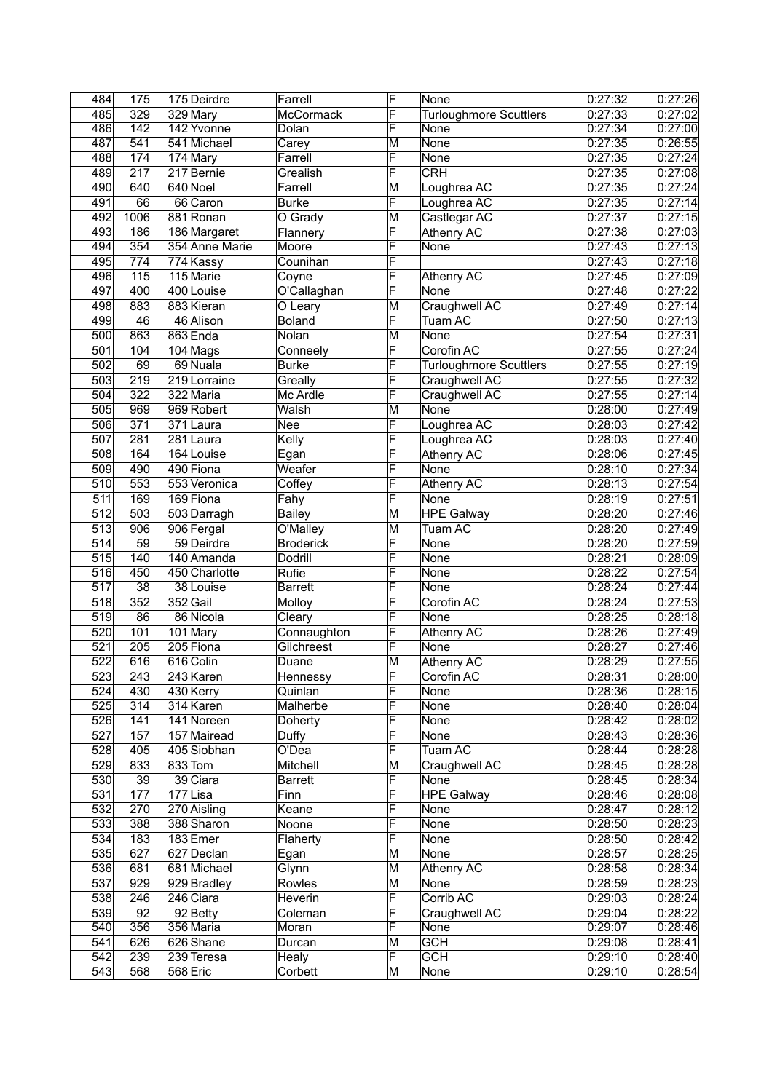| 484              | 175              | 175 Deirdre    | Farrell          | F                       | None                          | 0:27:32 | 0:27:26 |
|------------------|------------------|----------------|------------------|-------------------------|-------------------------------|---------|---------|
| 485              | 329              | 329 Mary       | <b>McCormack</b> | F                       | <b>Turloughmore Scuttlers</b> | 0:27:33 | 0:27:02 |
| 486              | 142              | 142 Yvonne     | Dolan            | F                       | None                          | 0:27:34 | 0:27:00 |
| 487              | 541              | 541 Michael    | Carey            | M                       | None                          | 0:27:35 | 0:26:55 |
| 488              | 174              | 174 Mary       | Farrell          | F                       | None                          | 0:27:35 | 0:27:24 |
| 489              | $\overline{217}$ | 217 Bernie     | Grealish         | F                       | <b>CRH</b>                    | 0:27:35 | 0:27:08 |
| 490              | 640              | 640 Noel       | Farrell          | M                       | Loughrea AC                   | 0:27:35 | 0:27:24 |
| 491              | 66               | 66 Caron       | <b>Burke</b>     | F                       | Loughrea AC                   | 0:27:35 | 0:27:14 |
| 492              | 1006             | 881 Ronan      | O Grady          | M                       | Castlegar AC                  | 0:27:37 | 0:27:15 |
| 493              | 186              | 186 Margaret   | Flannery         | F                       | <b>Athenry AC</b>             | 0:27:38 | 0:27:03 |
| 494              | 354              | 354 Anne Marie | Moore            | F                       | None                          | 0:27:43 | 0:27:13 |
| 495              | 774              | 774 Kassy      | Counihan         | F                       |                               | 0:27:43 | 0:27:18 |
| 496              | 115              | 115 Marie      | Coyne            | F                       |                               | 0:27:45 | 0:27:09 |
| 497              | 400              | 400 Louise     |                  | F                       | Athenry AC                    | 0:27:48 | 0:27:22 |
|                  |                  |                | O'Callaghan      |                         | None                          |         | 0:27:14 |
| 498              | 883              | 883 Kieran     | O Leary          | M                       | Craughwell AC                 | 0:27:49 |         |
| 499              | 46               | 46 Alison      | <b>Boland</b>    | F                       | Tuam AC                       | 0:27:50 | 0:27:13 |
| 500              | 863              | 863 Enda       | Nolan            | M                       | None                          | 0:27:54 | 0:27:31 |
| 501              | 104              | $104$ Mags     | Conneely         | F                       | Corofin AC                    | 0:27:55 | 0:27:24 |
| 502              | 69               | 69 Nuala       | <b>Burke</b>     | F                       | <b>Turloughmore Scuttlers</b> | 0:27:55 | 0:27:19 |
| 503              | 219              | 219 Lorraine   | Greally          | F                       | Craughwell AC                 | 0:27:55 | 0:27:32 |
| 504              | 322              | 322 Maria      | Mc Ardle         | F                       | Craughwell AC                 | 0:27:55 | 0:27:14 |
| 505              | 969              | 969 Robert     | Walsh            | $\overline{\mathsf{M}}$ | None                          | 0:28:00 | 0:27:49 |
| 506              | 371              | 371 Laura      | Nee              | F                       | Loughrea AC                   | 0:28:03 | 0:27:42 |
| 507              | 281              | 281 Laura      | Kelly            | F                       | Loughrea AC                   | 0:28:03 | 0:27:40 |
| 508              | 164              | 164 Louise     | Egan             | F                       | <b>Athenry AC</b>             | 0:28:06 | 0:27:45 |
| 509              | 490              | 490 Fiona      | Weafer           | F                       | None                          | 0:28:10 | 0:27:34 |
| $\overline{5}10$ | 553              | 553 Veronica   | Coffey           | F                       | Athenry AC                    | 0:28:13 | 0:27:54 |
| $\overline{511}$ | 169              | 169 Fiona      | Fahy             | F                       | None                          | 0:28:19 | 0:27:51 |
| $\overline{512}$ | 503              |                |                  | M                       | HPE Galway                    |         | 0:27:46 |
|                  |                  | 503 Darragh    | Bailey           |                         |                               | 0:28:20 |         |
| 513              | 906              | 906 Fergal     | O'Malley         | M                       | Tuam AC                       | 0:28:20 | 0:27:49 |
| 514              | $\overline{59}$  | 59 Deirdre     | <b>Broderick</b> | F                       | None                          | 0:28:20 | 0:27:59 |
| 515              | 140              | 140 Amanda     | Dodrill          | F                       | None                          | 0:28:21 | 0:28:09 |
| 516              | 450              | 450 Charlotte  | Rufie            | F                       | None                          | 0:28:22 | 0:27:54 |
| 517              | 38               | 38 Louise      | <b>Barrett</b>   | F                       | None                          | 0:28:24 | 0:27:44 |
| 518              | 352              | 352 Gail       | Molloy           | F                       | Corofin AC                    | 0:28:24 | 0:27:53 |
| $\overline{519}$ | 86               | 86 Nicola      | Cleary           | F                       | None                          | 0:28:25 | 0:28:18 |
| 520              | 101              | $101$ Mary     | Connaughton      | F                       | <b>Athenry AC</b>             | 0:28:26 | 0:27:49 |
| 521              | 205              | $205$ Fiona    | Gilchreest       | F                       | None                          | 0:28:27 | 0:27:46 |
| 522              | 616              | 616 Colin      | Duane            | M                       | Athenry AC                    | 0:28:29 | 0:27:55 |
| 523              | $\overline{243}$ | 243 Karen      | Hennessy         | F                       | Corofin AC                    | 0:28:31 | 0:28:00 |
| 524              | 430              | 430 Kerry      | Quinlan          | F                       | None                          | 0:28:36 | 0:28:15 |
| 525              | 314              | 314 Karen      | Malherbe         | F                       | None                          | 0:28:40 | 0:28:04 |
| 526              | 141              | 141 Noreen     | <b>Doherty</b>   | F                       | None                          | 0:28:42 | 0:28:02 |
| 527              | 157              | 157 Mairead    | Duffy            | F                       | None                          | 0:28:43 | 0:28:36 |
| 528              | 405              | 405 Siobhan    | O'Dea            | F                       | Tuam AC                       | 0:28:44 | 0:28:28 |
| 529              | 833              | $833$ Tom      | Mitchell         | M                       | Craughwell AC                 | 0:28:45 | 0:28:28 |
| 530              | 39               | 39 Ciara       | <b>Barrett</b>   | F                       | None                          | 0:28:45 | 0:28:34 |
| $\overline{531}$ | 177              | 177Lisa        | Finn             | F                       | <b>HPE Galway</b>             | 0:28:46 | 0:28:08 |
| 532              | 270              | 270 Aisling    | Keane            | F                       | None                          | 0:28:47 | 0:28:12 |
| 533              | 388              | 388 Sharon     |                  | F                       |                               | 0:28:50 |         |
|                  |                  |                | Noone            |                         | None                          |         | 0:28:23 |
| 534              | 183              | 183Emer        | Flaherty         | F                       | None                          | 0:28:50 | 0:28:42 |
| 535              | 627              | 627 Declan     | Egan             | M                       | None                          | 0:28:57 | 0:28:25 |
| 536              | 681              | 681 Michael    | Glynn            | M                       | <b>Athenry AC</b>             | 0:28:58 | 0:28:34 |
| 537              | 929              | 929 Bradley    | Rowles           | M                       | None                          | 0:28:59 | 0:28:23 |
| 538              | 246              | 246 Ciara      | Heverin          | F                       | Corrib AC                     | 0:29:03 | 0:28:24 |
| 539              | 92               | 92 Betty       | Coleman          | F                       | Craughwell AC                 | 0:29:04 | 0:28:22 |
| 540              | 356              | 356 Maria      | Moran            | F                       | None                          | 0:29:07 | 0:28:46 |
| 541              | 626              | 626 Shane      | Durcan           | M                       | <b>GCH</b>                    | 0:29:08 | 0:28:41 |
| 542              | 239              | 239 Teresa     | Healy            | F                       | <b>GCH</b>                    | 0:29:10 | 0:28:40 |
| 543              | 568              | 568 Eric       | Corbett          | M                       | None                          | 0:29:10 | 0:28:54 |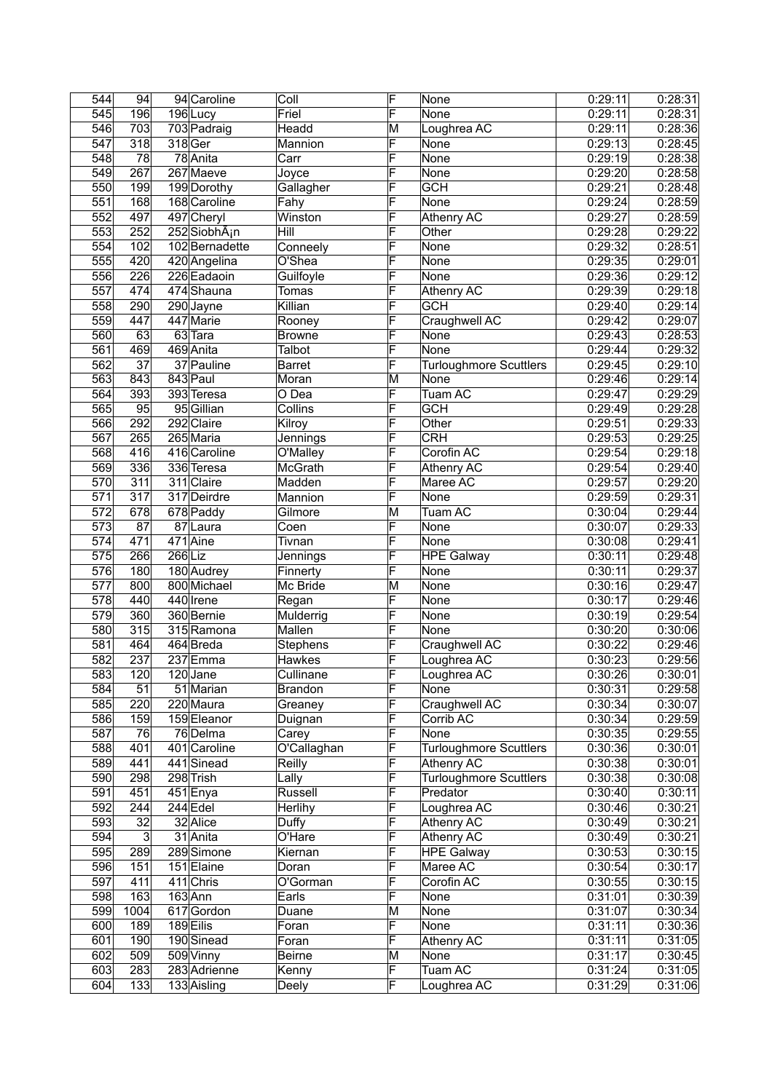| 544              | 94               |           | 94 Caroline              | Coll           | F                       | None                          | 0:29:11 | 0:28:31 |
|------------------|------------------|-----------|--------------------------|----------------|-------------------------|-------------------------------|---------|---------|
| 545              | 196              |           | 196Lucy                  | Friel          | F                       | None                          | 0:29:11 | 0:28:31 |
| 546              | 703              |           | 703 Padraig              | Headd          | M                       | Loughrea AC                   | 0:29:11 | 0:28:36 |
| 547              | 318              |           | 318 Ger                  | Mannion        | F                       | None                          | 0:29:13 | 0:28:45 |
| 548              | 78               |           | 78 Anita                 | Carr           | F                       | None                          | 0:29:19 | 0:28:38 |
| 549              | $\overline{267}$ |           | 267 Maeve                | Joyce          | F                       | None                          | 0:29:20 | 0:28:58 |
| 550              | 199              |           | 199 Dorothy              | Gallagher      | F                       | <b>GCH</b>                    | 0:29:21 | 0:28:48 |
| 551              | 168              |           | 168 Caroline             | Fahy           | F                       | None                          | 0:29:24 | 0:28:59 |
| 552              | 497              |           | 497 Cheryl               | Winston        | F                       | Athenry AC                    | 0:29:27 | 0:28:59 |
|                  |                  |           |                          | Hill           |                         |                               |         |         |
| 553              | 252              |           | 252SiobhÃ <sub>i</sub> n |                | F                       | Other                         | 0:29:28 | 0:29:22 |
| 554              | 102              |           | 102 Bernadette           | Conneely       | F                       | None                          | 0:29:32 | 0:28:51 |
| 555              | 420              |           | 420 Angelina             | O'Shea         | F                       | None                          | 0:29:35 | 0:29:01 |
| 556              | 226              |           | 226 Eadaoin              | Guilfoyle      | F                       | None                          | 0:29:36 | 0:29:12 |
| $\frac{1}{557}$  | 474              |           | 474 Shauna               | Tomas          | F                       | Athenry AC                    | 0:29:39 | 0:29:18 |
| 558              | 290              |           | 290 Jayne                | Killian        | F                       | <b>GCH</b>                    | 0:29:40 | 0:29:14 |
| 559              | 447              |           | 447 Marie                | Rooney         | F                       | Craughwell AC                 | 0:29:42 | 0:29:07 |
| 560              | 63               |           | 63 Tara                  | <b>Browne</b>  | F                       | None                          | 0:29:43 | 0:28:53 |
| 561              | 469              |           | 469 Anita                | <b>Talbot</b>  | F                       | None                          | 0:29:44 | 0:29:32 |
| 562              | $\overline{37}$  |           | 37 Pauline               | <b>Barret</b>  | F                       | <b>Turloughmore Scuttlers</b> | 0:29:45 | 0:29:10 |
| 563              | 843              |           | 843 Paul                 | Moran          | M                       | None                          | 0:29:46 | 0:29:14 |
| 564              | 393              |           | 393 Teresa               | O Dea          | F                       | Tuam AC                       | 0:29:47 | 0:29:29 |
| 565              | 95               |           | 95 Gillian               | Collins        | F                       | <b>GCH</b>                    | 0:29:49 | 0:29:28 |
| 566              | 292              |           | 292 Claire               |                | F                       |                               |         |         |
|                  |                  |           |                          | Kilroy         | F                       | Other                         | 0:29:51 | 0:29:33 |
| 567              | 265              |           | 265 Maria                | Jennings       |                         | <b>CRH</b>                    | 0:29:53 | 0:29:25 |
| 568              | 416              |           | 416 Caroline             | O'Malley       | F                       | Corofin AC                    | 0:29:54 | 0:29:18 |
| 569              | 336              |           | 336 Teresa               | McGrath        | F                       | Athenry AC                    | 0:29:54 | 0:29:40 |
| 570              | 311              |           | 311 Claire               | Madden         | F                       | Maree AC                      | 0:29:57 | 0:29:20 |
| 571              | 317              |           | 317 Deirdre              | Mannion        | F                       | None                          | 0:29:59 | 0:29:31 |
| 572              | 678              |           | 678 Paddy                | Gilmore        | M                       | Tuam AC                       | 0:30:04 | 0:29:44 |
| $\overline{573}$ | $\overline{87}$  |           | 87 Laura                 | Coen           | F                       | None                          | 0:30:07 | 0:29:33 |
| 574              | 471              |           | 471 Aine                 | Tivnan         | F                       | None                          | 0:30:08 | 0:29:41 |
| $\overline{575}$ | 266              | $266$ Liz |                          | Jennings       | F                       | <b>HPE Galway</b>             | 0:30:11 | 0:29:48 |
| 576              | 180              |           | 180 Audrey               | Finnerty       | F                       | None                          | 0:30:11 | 0:29:37 |
| $\overline{577}$ | 800              |           | 800 Michael              | Mc Bride       | $\overline{\mathsf{M}}$ | None                          | 0:30:16 | 0:29:47 |
| 578              | 440              |           | 440 Irene                | Regan          | F                       | None                          | 0:30:17 | 0:29:46 |
| 579              | 360              |           | 360 Bernie               | Mulderrig      | F                       | None                          | 0:30:19 | 0:29:54 |
| 580              | 315              |           | 315 Ramona               | Mallen         | F                       | None                          | 0:30:20 | 0:30:06 |
| 581              | 464              |           | 464 Breda                |                | F                       |                               | 0:30:22 | 0:29:46 |
|                  |                  |           |                          | Stephens       |                         | Craughwell AC                 |         |         |
| 582              | 237              |           | 237 Emma                 | Hawkes         | F                       | Loughrea AC                   | 0:30:23 | 0:29:56 |
| 583              | 120              |           | 120 Jane                 | Cullinane      | F                       | Loughrea AC                   | 0:30:26 | 0:30:01 |
| 584              | 51               |           | 51 Marian                | <b>Brandon</b> | F                       | None                          | 0:30:31 | 0:29:58 |
| 585              | 220              |           | 220 Maura                | Greaney        | F                       | Craughwell AC                 | 0:30:34 | 0:30:07 |
| 586              | 159              |           | 159 Eleanor              | Duignan        | F                       | Corrib AC                     | 0:30:34 | 0:29:59 |
| 587              | 76               |           | 76 Delma                 | Carey          | F                       | None                          | 0:30:35 | 0:29:55 |
| 588              | 401              |           | 401 Caroline             | O'Callaghan    | F                       | <b>Turloughmore Scuttlers</b> | 0:30:36 | 0:30:01 |
| 589              | 441              |           | 441 Sinead               | Reilly         | F                       | <b>Athenry AC</b>             | 0:30:38 | 0:30:01 |
| 590              | 298              |           | 298 Trish                | Lally          | F                       | <b>Turloughmore Scuttlers</b> | 0:30:38 | 0:30:08 |
| 591              | 451              |           | 451 Enya                 | Russell        | F                       | Predator                      | 0:30:40 | 0:30:11 |
| 592              | 244              |           | $244$ Edel               | Herlihy        | F                       | Loughrea AC                   | 0:30:46 | 0:30:21 |
| 593              | $\overline{32}$  |           | 32 Alice                 | Duffy          | F                       | Athenry AC                    | 0:30:49 | 0:30:21 |
| 594              | $\overline{3}$   |           | 31 Anita                 | O'Hare         | F                       | <b>Athenry AC</b>             | 0:30:49 | 0:30:21 |
| 595              | 289              |           | 289 Simone               | Kiernan        | F                       | <b>HPE</b> Galway             | 0:30:53 | 0:30:15 |
| 596              | 151              |           | 151 Elaine               | Doran          | F                       | Maree AC                      | 0:30:54 | 0:30:17 |
|                  |                  |           |                          |                |                         |                               |         |         |
| 597              | 411              |           | 411 Chris                | O'Gorman       | F<br>F                  | Corofin AC                    | 0:30:55 | 0:30:15 |
| 598              | 163              |           | $163$ Ann                | Earls          |                         | None                          | 0:31:01 | 0:30:39 |
| 599              | 1004             |           | 617 Gordon               | Duane          | M                       | None                          | 0:31:07 | 0:30:34 |
| 600              | 189              |           | 189 Eilis                | Foran          | F                       | None                          | 0:31:11 | 0:30:36 |
| 601              | 190              |           | 190 Sinead               | Foran          | F                       | Athenry AC                    | 0:31:11 | 0:31:05 |
| 602              | 509              |           | 509 Vinny                | <b>Beirne</b>  | M                       | None                          | 0:31:17 | 0:30:45 |
| 603              | 283              |           | 283 Adrienne             | Kenny          | F                       | Tuam AC                       | 0:31:24 | 0:31:05 |
| 604              | 133              |           | 133 Aisling              | Deely          | F                       | Loughrea AC                   | 0:31:29 | 0:31:06 |